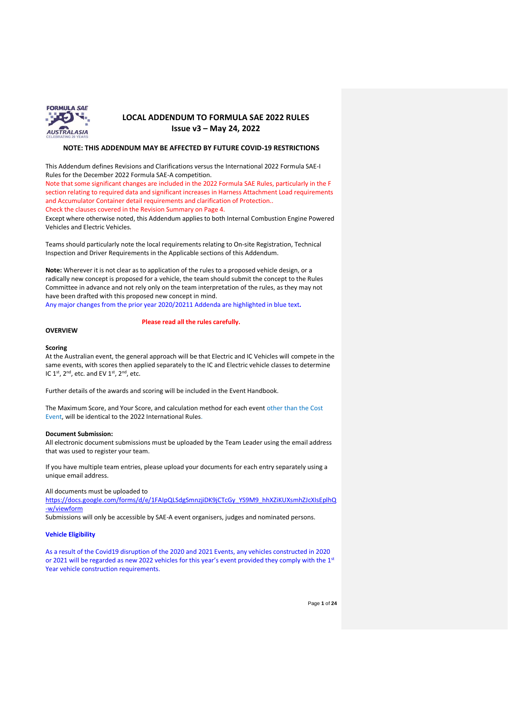

#### **NOTE: THIS ADDENDUM MAY BE AFFECTED BY FUTURE COVID-19 RESTRICTIONS**

This Addendum defines Revisions and Clarifications versus the International 2022 Formula SAE-I Rules for the December 2022 Formula SAE-A competition.

Note that some significant changes are included in the 2022 Formula SAE Rules, particularly in the F section relating to required data and significant increases in Harness Attachment Load requirements and Accumulator Container detail requirements and clarification of Protection..

Check the clauses covered in the Revision Summary on Page 4.

Except where otherwise noted, this Addendum applies to both Internal Combustion Engine Powered Vehicles and Electric Vehicles.

Teams should particularly note the local requirements relating to On-site Registration, Technical Inspection and Driver Requirements in the Applicable sections of this Addendum.

**Note:** Wherever it is not clear as to application of the rules to a proposed vehicle design, or a radically new concept is proposed for a vehicle, the team should submit the concept to the Rules Committee in advance and not rely only on the team interpretation of the rules, as they may not have been drafted with this proposed new concept in mind.

Any major changes from the prior year 2020/20211 Addenda are highlighted in blue text**.** 

#### **Please read all the rules carefully.**

### **OVERVIEW**

#### **Scoring**

At the Australian event, the general approach will be that Electric and IC Vehicles will compete in the same events, with scores then applied separately to the IC and Electric vehicle classes to determine IC  $1^{st}$ ,  $2^{nd}$ , etc. and EV  $1^{st}$ ,  $2^{nd}$ , etc.

Further details of the awards and scoring will be included in the Event Handbook.

The Maximum Score, and Your Score, and calculation method for each event other than the Cost Event, will be identical to the 2022 International Rules.

#### **Document Submission:**

All electronic document submissions must be uploaded by the Team Leader using the email address that was used to register your team.

If you have multiple team entries, please upload your documents for each entry separately using a unique email address.

All documents must be uploaded to

[https://docs.google.com/forms/d/e/1FAIpQLSdgSmnzjiDK9jCTcGy\\_YS9M9\\_hhXZiKUXsmhZJcXIsEplhQ](https://docs.google.com/forms/d/e/1FAIpQLSdgSmnzjiDK9jCTcGy_YS9M9_hhXZiKUXsmhZJcXIsEplhQ-w/viewform) [-w/viewform](https://docs.google.com/forms/d/e/1FAIpQLSdgSmnzjiDK9jCTcGy_YS9M9_hhXZiKUXsmhZJcXIsEplhQ-w/viewform)

Submissions will only be accessible by SAE-A event organisers, judges and nominated persons.

## **Vehicle Eligibility**

As a result of the Covid19 disruption of the 2020 and 2021 Events, any vehicles constructed in 2020 or 2021 will be regarded as new 2022 vehicles for this year's event provided they comply with the 1st Year vehicle construction requirements.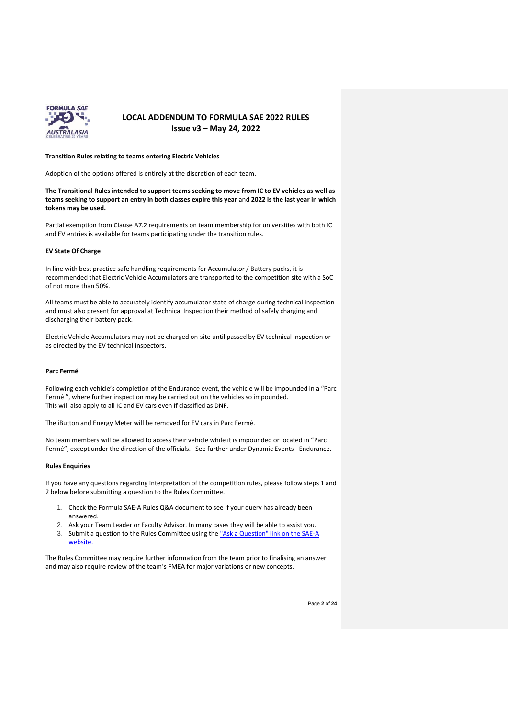

#### **Transition Rules relating to teams entering Electric Vehicles**

Adoption of the options offered is entirely at the discretion of each team.

**The Transitional Rules intended to support teams seeking to move from IC to EV vehicles as well as teams seeking to support an entry in both classes expire this year** and **2022 is the last year in which tokens may be used.**

Partial exemption from Clause A7.2 requirements on team membership for universities with both IC and EV entries is available for teams participating under the transition rules.

#### **EV State Of Charge**

In line with best practice safe handling requirements for Accumulator / Battery packs, it is recommended that Electric Vehicle Accumulators are transported to the competition site with a SoC of not more than 50%.

All teams must be able to accurately identify accumulator state of charge during technical inspection and must also present for approval at Technical Inspection their method of safely charging and discharging their battery pack.

Electric Vehicle Accumulators may not be charged on-site until passed by EV technical inspection or as directed by the EV technical inspectors.

#### **Parc Fermé**

Following each vehicle's completion of the Endurance event, the vehicle will be impounded in a "Parc Fermé ", where further inspection may be carried out on the vehicles so impounded. This will also apply to all IC and EV cars even if classified as DNF.

The iButton and Energy Meter will be removed for EV cars in Parc Fermé.

No team members will be allowed to access their vehicle while it is impounded or located in "Parc Fermé", except under the direction of the officials. See further under Dynamic Events - Endurance.

#### **Rules Enquiries**

If you have any questions regarding interpretation of the competition rules, please follow steps 1 and 2 below before submitting a question to the Rules Committee.

- 1. Check the [Formula SAE-A Rules Q&A document](https://www.saea.com.au/rules-enquiry) to see if your query has already been answered.
- 2. Ask your Team Leader or Faculty Advisor. In many cases they will be able to assist you.
- 3. Submit a question to the Rules Committee using th[e "Ask a Question" link on the SAE-A](https://docs.google.com/forms/d/e/1FAIpQLSdPeQl0KAHF5mBx79Uf8n2q-2OJKlbyM63O6bdIYBsE82wlRQ/viewform)  [website.](https://docs.google.com/forms/d/e/1FAIpQLSdPeQl0KAHF5mBx79Uf8n2q-2OJKlbyM63O6bdIYBsE82wlRQ/viewform)

The Rules Committee may require further information from the team prior to finalising an answer and may also require review of the team's FMEA for major variations or new concepts.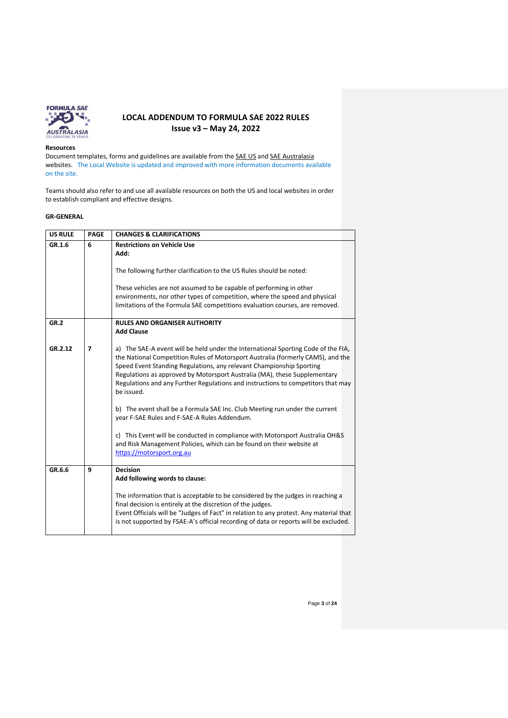

#### **Resources**

Document templates, forms and guidelines are available from th[e SAE US](https://www.fsaeonline.com/cdsweb/gen/DocumentResources.aspx) an[d SAE Australasia](https://www.saea.com.au/formula-sae-a) websites. The Local Website is updated and improved with more information documents available on the site.

Teams should also refer to and use all available resources on both the US and local websites in order to establish compliant and effective designs.

### **GR-GENERAL**

| <b>US RULE</b> | <b>PAGE</b>    | <b>CHANGES &amp; CLARIFICATIONS</b>                                                                                                                                                                                                                                                                                                                                                                                         |
|----------------|----------------|-----------------------------------------------------------------------------------------------------------------------------------------------------------------------------------------------------------------------------------------------------------------------------------------------------------------------------------------------------------------------------------------------------------------------------|
| GR.1.6         | 6              | <b>Restrictions on Vehicle Use</b><br>Add:<br>The following further clarification to the US Rules should be noted:                                                                                                                                                                                                                                                                                                          |
|                |                | These vehicles are not assumed to be capable of performing in other<br>environments, nor other types of competition, where the speed and physical<br>limitations of the Formula SAE competitions evaluation courses, are removed.                                                                                                                                                                                           |
| GR.2           |                | <b>RULES AND ORGANISER AUTHORITY</b><br><b>Add Clause</b>                                                                                                                                                                                                                                                                                                                                                                   |
| GR.2.12        | $\overline{7}$ | a) The SAE-A event will be held under the International Sporting Code of the FIA,<br>the National Competition Rules of Motorsport Australia (formerly CAMS), and the<br>Speed Event Standing Regulations, any relevant Championship Sporting<br>Regulations as approved by Motorsport Australia (MA), these Supplementary<br>Regulations and any Further Regulations and instructions to competitors that may<br>be issued. |
|                |                | b) The event shall be a Formula SAE Inc. Club Meeting run under the current<br>year F-SAE Rules and F-SAE-A Rules Addendum.                                                                                                                                                                                                                                                                                                 |
|                |                | c) This Event will be conducted in compliance with Motorsport Australia OH&S<br>and Risk Management Policies, which can be found on their website at<br>https://motorsport.org.au                                                                                                                                                                                                                                           |
| GR.6.6         | 9              | <b>Decision</b><br>Add following words to clause:                                                                                                                                                                                                                                                                                                                                                                           |
|                |                | The information that is acceptable to be considered by the judges in reaching a<br>final decision is entirely at the discretion of the judges.<br>Event Officials will be "Judges of Fact" in relation to any protest. Any material that<br>is not supported by FSAE-A's official recording of data or reports will be excluded.                                                                                            |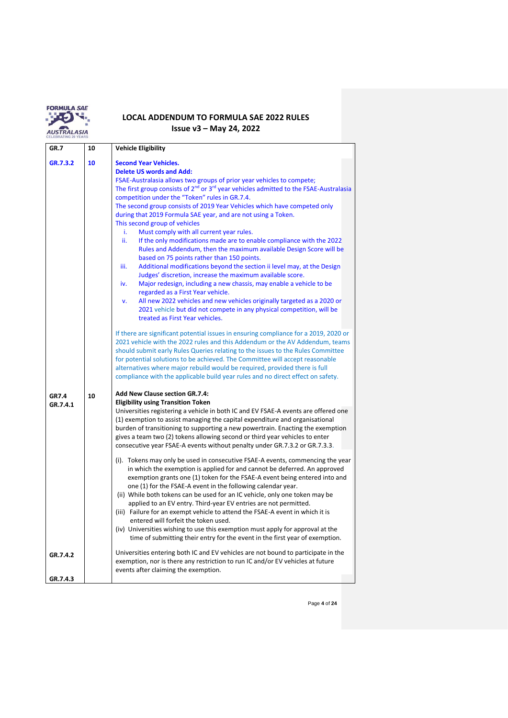

| GR.7                     | 10 | <b>Vehicle Eligibility</b>                                                                                                                                                                                                                                                                                                                                                                                                                                                                                                                                                                                                                                                                                                                                                                                                                                                                                                                                                                                                                                                                                                                                                                                                                                                                                                                                                                                                                                                                                                                                                                                                                                                                                                   |  |
|--------------------------|----|------------------------------------------------------------------------------------------------------------------------------------------------------------------------------------------------------------------------------------------------------------------------------------------------------------------------------------------------------------------------------------------------------------------------------------------------------------------------------------------------------------------------------------------------------------------------------------------------------------------------------------------------------------------------------------------------------------------------------------------------------------------------------------------------------------------------------------------------------------------------------------------------------------------------------------------------------------------------------------------------------------------------------------------------------------------------------------------------------------------------------------------------------------------------------------------------------------------------------------------------------------------------------------------------------------------------------------------------------------------------------------------------------------------------------------------------------------------------------------------------------------------------------------------------------------------------------------------------------------------------------------------------------------------------------------------------------------------------------|--|
| GR.7.3.2                 | 10 | <b>Second Year Vehicles.</b><br><b>Delete US words and Add:</b><br>FSAE-Australasia allows two groups of prior year vehicles to compete;<br>The first group consists of 2 <sup>nd</sup> or 3 <sup>rd</sup> year vehicles admitted to the FSAE-Australasia<br>competition under the "Token" rules in GR.7.4.<br>The second group consists of 2019 Year Vehicles which have competed only<br>during that 2019 Formula SAE year, and are not using a Token.<br>This second group of vehicles<br>Must comply with all current year rules.<br>i.<br>ii.<br>If the only modifications made are to enable compliance with the 2022<br>Rules and Addendum, then the maximum available Design Score will be<br>based on 75 points rather than 150 points.<br>iii.<br>Additional modifications beyond the section ii level may, at the Design<br>Judges' discretion, increase the maximum available score.<br>Major redesign, including a new chassis, may enable a vehicle to be<br>iv.<br>regarded as a First Year vehicle.<br>All new 2022 vehicles and new vehicles originally targeted as a 2020 or<br>v.<br>2021 vehicle but did not compete in any physical competition, will be<br>treated as First Year vehicles.<br>If there are significant potential issues in ensuring compliance for a 2019, 2020 or<br>2021 vehicle with the 2022 rules and this Addendum or the AV Addendum, teams<br>should submit early Rules Queries relating to the issues to the Rules Committee<br>for potential solutions to be achieved. The Committee will accept reasonable<br>alternatives where major rebuild would be required, provided there is full<br>compliance with the applicable build year rules and no direct effect on safety. |  |
| <b>GR7.4</b><br>GR.7.4.1 | 10 | <b>Add New Clause section GR.7.4:</b><br><b>Eligibility using Transition Token</b><br>Universities registering a vehicle in both IC and EV FSAE-A events are offered one<br>(1) exemption to assist managing the capital expenditure and organisational<br>burden of transitioning to supporting a new powertrain. Enacting the exemption<br>gives a team two (2) tokens allowing second or third year vehicles to enter<br>consecutive year FSAE-A events without penalty under GR.7.3.2 or GR.7.3.3.<br>(i). Tokens may only be used in consecutive FSAE-A events, commencing the year<br>in which the exemption is applied for and cannot be deferred. An approved<br>exemption grants one (1) token for the FSAE-A event being entered into and<br>one (1) for the FSAE-A event in the following calendar year.<br>(ii) While both tokens can be used for an IC vehicle, only one token may be<br>applied to an EV entry. Third-year EV entries are not permitted.<br>(iii) Failure for an exempt vehicle to attend the FSAE-A event in which it is<br>entered will forfeit the token used.<br>(iv) Universities wishing to use this exemption must apply for approval at the<br>time of submitting their entry for the event in the first year of exemption.                                                                                                                                                                                                                                                                                                                                                                                                                                                            |  |
| GR.7.4.2                 |    | Universities entering both IC and EV vehicles are not bound to participate in the<br>exemption, nor is there any restriction to run IC and/or EV vehicles at future<br>events after claiming the exemption.                                                                                                                                                                                                                                                                                                                                                                                                                                                                                                                                                                                                                                                                                                                                                                                                                                                                                                                                                                                                                                                                                                                                                                                                                                                                                                                                                                                                                                                                                                                  |  |
| GR.7.4.3                 |    |                                                                                                                                                                                                                                                                                                                                                                                                                                                                                                                                                                                                                                                                                                                                                                                                                                                                                                                                                                                                                                                                                                                                                                                                                                                                                                                                                                                                                                                                                                                                                                                                                                                                                                                              |  |

Page **4** of **24**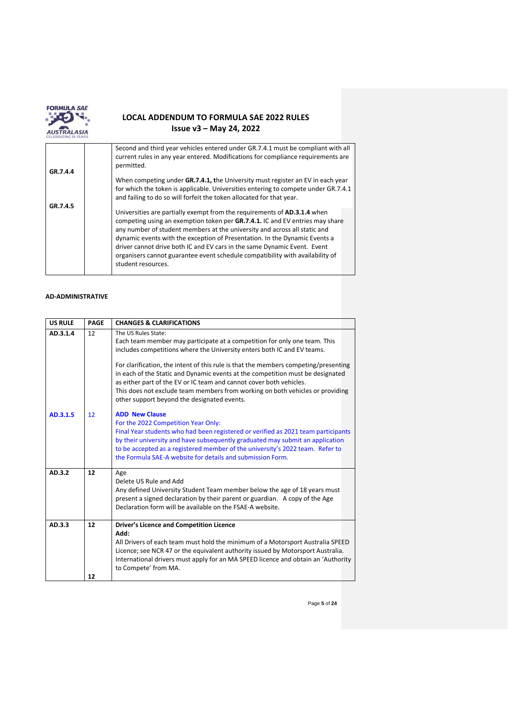

|          | Second and third year vehicles entered under GR.7.4.1 must be compliant with all<br>current rules in any year entered. Modifications for compliance requirements are<br>permitted.                                                                                                                                                                                                                                                                                                                            |
|----------|---------------------------------------------------------------------------------------------------------------------------------------------------------------------------------------------------------------------------------------------------------------------------------------------------------------------------------------------------------------------------------------------------------------------------------------------------------------------------------------------------------------|
| GR.7.4.4 |                                                                                                                                                                                                                                                                                                                                                                                                                                                                                                               |
|          | When competing under GR.7.4.1, the University must register an EV in each year                                                                                                                                                                                                                                                                                                                                                                                                                                |
|          | for which the token is applicable. Universities entering to compete under GR.7.4.1                                                                                                                                                                                                                                                                                                                                                                                                                            |
|          | and failing to do so will forfeit the token allocated for that year.                                                                                                                                                                                                                                                                                                                                                                                                                                          |
| GR.7.4.5 | Universities are partially exempt from the requirements of <b>AD.3.1.4</b> when<br>competing using an exemption token per GR.7.4.1. IC and EV entries may share<br>any number of student members at the university and across all static and<br>dynamic events with the exception of Presentation. In the Dynamic Events a<br>driver cannot drive both IC and EV cars in the same Dynamic Event. Event<br>organisers cannot guarantee event schedule compatibility with availability of<br>student resources. |

### **AD-ADMINISTRATIVE**

| <b>US RULE</b> | <b>PAGE</b> | <b>CHANGES &amp; CLARIFICATIONS</b>                                                                                                                                                                                                                                                                                                                                                                                                                                                                                                                         |
|----------------|-------------|-------------------------------------------------------------------------------------------------------------------------------------------------------------------------------------------------------------------------------------------------------------------------------------------------------------------------------------------------------------------------------------------------------------------------------------------------------------------------------------------------------------------------------------------------------------|
| AD.3.1.4       | 12          | The US Rules State:<br>Each team member may participate at a competition for only one team. This<br>includes competitions where the University enters both IC and EV teams.<br>For clarification, the intent of this rule is that the members competing/presenting<br>in each of the Static and Dynamic events at the competition must be designated<br>as either part of the EV or IC team and cannot cover both vehicles.<br>This does not exclude team members from working on both vehicles or providing<br>other support beyond the designated events. |
| AD.3.1.5       | 12          | <b>ADD New Clause</b><br>For the 2022 Competition Year Only:<br>Final Year students who had been registered or verified as 2021 team participants<br>by their university and have subsequently graduated may submit an application<br>to be accepted as a registered member of the university's 2022 team. Refer to<br>the Formula SAE-A website for details and submission Form.                                                                                                                                                                           |
| AD.3.2         | 12          | Age<br>Delete US Rule and Add<br>Any defined University Student Team member below the age of 18 years must<br>present a signed declaration by their parent or guardian. A copy of the Age<br>Declaration form will be available on the FSAE-A website.                                                                                                                                                                                                                                                                                                      |
| AD.3.3         | 12<br>12    | Driver's Licence and Competition Licence<br>Add:<br>All Drivers of each team must hold the minimum of a Motorsport Australia SPEED<br>Licence; see NCR 47 or the equivalent authority issued by Motorsport Australia.<br>International drivers must apply for an MA SPEED licence and obtain an 'Authority<br>to Compete' from MA.                                                                                                                                                                                                                          |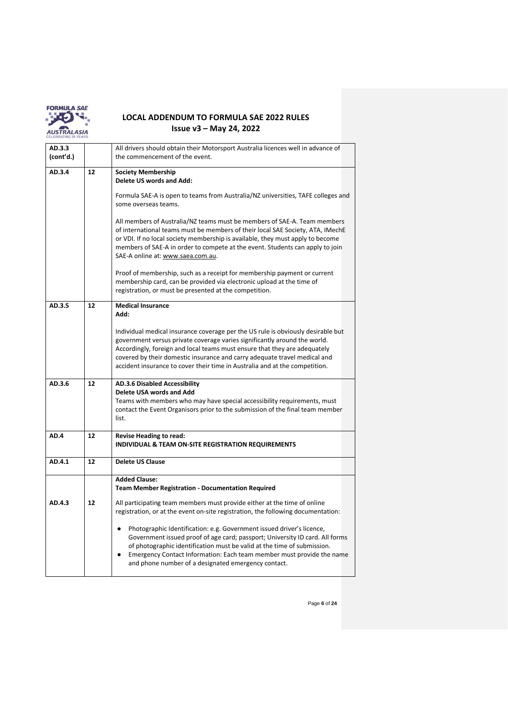

| AD.3.3    |    | All drivers should obtain their Motorsport Australia licences well in advance of                                                                                                                                                                                                                                                                                                                       |  |
|-----------|----|--------------------------------------------------------------------------------------------------------------------------------------------------------------------------------------------------------------------------------------------------------------------------------------------------------------------------------------------------------------------------------------------------------|--|
| (cont'd.) |    | the commencement of the event.                                                                                                                                                                                                                                                                                                                                                                         |  |
| AD.3.4    | 12 | <b>Society Membership</b><br>Delete US words and Add:                                                                                                                                                                                                                                                                                                                                                  |  |
|           |    | Formula SAE-A is open to teams from Australia/NZ universities, TAFE colleges and<br>some overseas teams.                                                                                                                                                                                                                                                                                               |  |
|           |    | All members of Australia/NZ teams must be members of SAE-A. Team members<br>of international teams must be members of their local SAE Society, ATA, IMechE<br>or VDI. If no local society membership is available, they must apply to become<br>members of SAE-A in order to compete at the event. Students can apply to join<br>SAE-A online at: www.saea.com.au.                                     |  |
|           |    | Proof of membership, such as a receipt for membership payment or current<br>membership card, can be provided via electronic upload at the time of<br>registration, or must be presented at the competition.                                                                                                                                                                                            |  |
| AD.3.5    | 12 | <b>Medical Insurance</b><br>Add:                                                                                                                                                                                                                                                                                                                                                                       |  |
|           |    | Individual medical insurance coverage per the US rule is obviously desirable but<br>government versus private coverage varies significantly around the world.<br>Accordingly, foreign and local teams must ensure that they are adequately<br>covered by their domestic insurance and carry adequate travel medical and<br>accident insurance to cover their time in Australia and at the competition. |  |
| AD.3.6    | 12 | <b>AD.3.6 Disabled Accessibility</b><br>Delete USA words and Add<br>Teams with members who may have special accessibility requirements, must<br>contact the Event Organisors prior to the submission of the final team member<br>list.                                                                                                                                                                 |  |
| AD.4      | 12 | <b>Revise Heading to read:</b><br><b>INDIVIDUAL &amp; TEAM ON-SITE REGISTRATION REQUIREMENTS</b>                                                                                                                                                                                                                                                                                                       |  |
| AD.4.1    | 12 | <b>Delete US Clause</b>                                                                                                                                                                                                                                                                                                                                                                                |  |
|           |    | <b>Added Clause:</b><br><b>Team Member Registration - Documentation Required</b>                                                                                                                                                                                                                                                                                                                       |  |
| AD.4.3    | 12 | All participating team members must provide either at the time of online<br>registration, or at the event on-site registration, the following documentation:                                                                                                                                                                                                                                           |  |
|           |    | Photographic Identification: e.g. Government issued driver's licence,<br>$\bullet$<br>Government issued proof of age card; passport; University ID card. All forms<br>of photographic identification must be valid at the time of submission.<br>Emergency Contact Information: Each team member must provide the name<br>$\bullet$<br>and phone number of a designated emergency contact.             |  |

Page **6** of **24**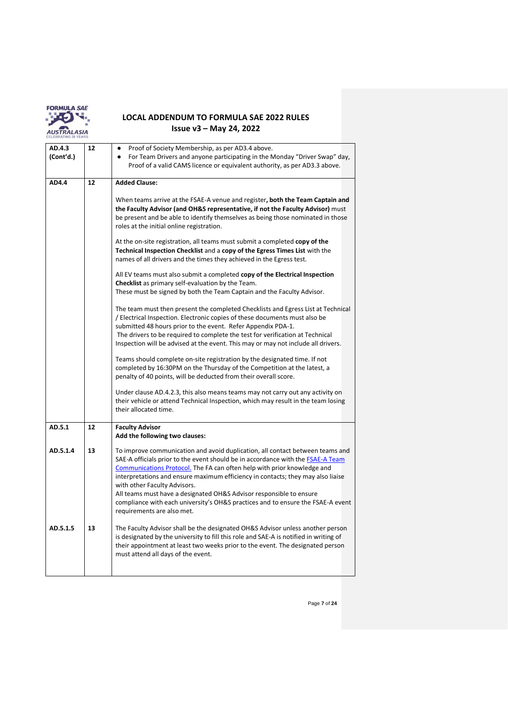

| AD.4.3<br>(Cont'd.) | 12 | Proof of Society Membership, as per AD3.4 above.<br>$\bullet$<br>For Team Drivers and anyone participating in the Monday "Driver Swap" day,<br>$\bullet$<br>Proof of a valid CAMS licence or equivalent authority, as per AD3.3 above.                                                                                                                                                                                                                                                                                                                                                                                                                                                                                                                                                                                                                                                                                                                                                                                                                                                                                                                                                                                                                                                                                                                                                                                                                                                            |
|---------------------|----|---------------------------------------------------------------------------------------------------------------------------------------------------------------------------------------------------------------------------------------------------------------------------------------------------------------------------------------------------------------------------------------------------------------------------------------------------------------------------------------------------------------------------------------------------------------------------------------------------------------------------------------------------------------------------------------------------------------------------------------------------------------------------------------------------------------------------------------------------------------------------------------------------------------------------------------------------------------------------------------------------------------------------------------------------------------------------------------------------------------------------------------------------------------------------------------------------------------------------------------------------------------------------------------------------------------------------------------------------------------------------------------------------------------------------------------------------------------------------------------------------|
| AD4.4               | 12 | <b>Added Clause:</b><br>When teams arrive at the FSAE-A venue and register, both the Team Captain and<br>the Faculty Advisor (and OH&S representative, if not the Faculty Advisor) must<br>be present and be able to identify themselves as being those nominated in those<br>roles at the initial online registration.<br>At the on-site registration, all teams must submit a completed copy of the<br>Technical Inspection Checklist and a copy of the Egress Times List with the<br>names of all drivers and the times they achieved in the Egress test.<br>All EV teams must also submit a completed copy of the Electrical Inspection<br>Checklist as primary self-evaluation by the Team.<br>These must be signed by both the Team Captain and the Faculty Advisor.<br>The team must then present the completed Checklists and Egress List at Technical<br>/ Electrical Inspection. Electronic copies of these documents must also be<br>submitted 48 hours prior to the event. Refer Appendix PDA-1.<br>The drivers to be required to complete the test for verification at Technical<br>Inspection will be advised at the event. This may or may not include all drivers.<br>Teams should complete on-site registration by the designated time. If not<br>completed by 16:30PM on the Thursday of the Competition at the latest, a<br>penalty of 40 points, will be deducted from their overall score.<br>Under clause AD.4.2.3, this also means teams may not carry out any activity on |
|                     |    | their vehicle or attend Technical Inspection, which may result in the team losing<br>their allocated time.                                                                                                                                                                                                                                                                                                                                                                                                                                                                                                                                                                                                                                                                                                                                                                                                                                                                                                                                                                                                                                                                                                                                                                                                                                                                                                                                                                                        |
| AD.5.1              | 12 | <b>Faculty Advisor</b><br>Add the following two clauses:                                                                                                                                                                                                                                                                                                                                                                                                                                                                                                                                                                                                                                                                                                                                                                                                                                                                                                                                                                                                                                                                                                                                                                                                                                                                                                                                                                                                                                          |
| AD.5.1.4            | 13 | To improve communication and avoid duplication, all contact between teams and<br>SAE-A officials prior to the event should be in accordance with the FSAE-A Team<br>Communications Protocol. The FA can often help with prior knowledge and<br>interpretations and ensure maximum efficiency in contacts; they may also liaise<br>with other Faculty Advisors.<br>All teams must have a designated OH&S Advisor responsible to ensure<br>compliance with each university's OH&S practices and to ensure the FSAE-A event<br>requirements are also met.                                                                                                                                                                                                                                                                                                                                                                                                                                                                                                                                                                                                                                                                                                                                                                                                                                                                                                                                            |
| AD.5.1.5            | 13 | The Faculty Advisor shall be the designated OH&S Advisor unless another person<br>is designated by the university to fill this role and SAE-A is notified in writing of<br>their appointment at least two weeks prior to the event. The designated person<br>must attend all days of the event.                                                                                                                                                                                                                                                                                                                                                                                                                                                                                                                                                                                                                                                                                                                                                                                                                                                                                                                                                                                                                                                                                                                                                                                                   |

Page **7** of **24**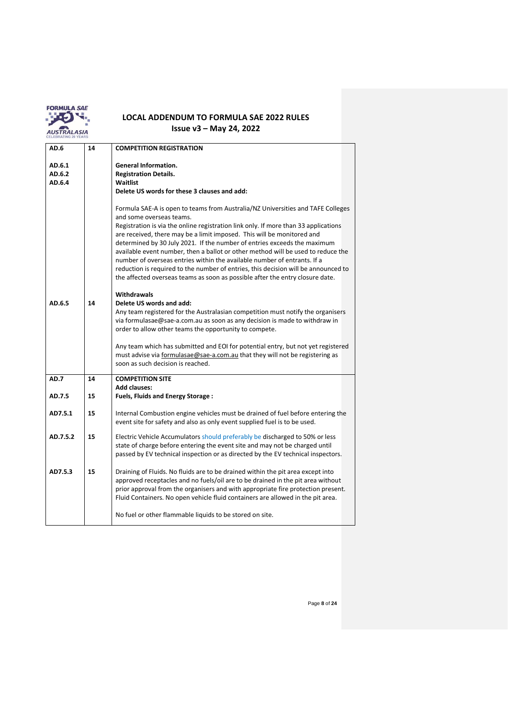

| AD.6                       | 14 | <b>COMPETITION REGISTRATION</b>                                                                                                                                                                                                                                                                                                                                                                                                                                                                                                                                                                                                                                                                 |
|----------------------------|----|-------------------------------------------------------------------------------------------------------------------------------------------------------------------------------------------------------------------------------------------------------------------------------------------------------------------------------------------------------------------------------------------------------------------------------------------------------------------------------------------------------------------------------------------------------------------------------------------------------------------------------------------------------------------------------------------------|
| AD.6.1<br>AD.6.2<br>AD.6.4 |    | <b>General Information.</b><br><b>Registration Details.</b><br>Waitlist<br>Delete US words for these 3 clauses and add:                                                                                                                                                                                                                                                                                                                                                                                                                                                                                                                                                                         |
|                            |    | Formula SAE-A is open to teams from Australia/NZ Universities and TAFE Colleges<br>and some overseas teams.<br>Registration is via the online registration link only. If more than 33 applications<br>are received, there may be a limit imposed. This will be monitored and<br>determined by 30 July 2021. If the number of entries exceeds the maximum<br>available event number, then a ballot or other method will be used to reduce the<br>number of overseas entries within the available number of entrants. If a<br>reduction is required to the number of entries, this decision will be announced to<br>the affected overseas teams as soon as possible after the entry closure date. |
| AD.6.5                     | 14 | <b>Withdrawals</b><br>Delete US words and add:<br>Any team registered for the Australasian competition must notify the organisers<br>via formulasae@sae-a.com.au as soon as any decision is made to withdraw in<br>order to allow other teams the opportunity to compete.                                                                                                                                                                                                                                                                                                                                                                                                                       |
|                            |    | Any team which has submitted and EOI for potential entry, but not yet registered<br>must advise via formulasae@sae-a.com.au that they will not be registering as<br>soon as such decision is reached.                                                                                                                                                                                                                                                                                                                                                                                                                                                                                           |
| AD.7                       | 14 | <b>COMPETITION SITE</b><br><b>Add clauses:</b>                                                                                                                                                                                                                                                                                                                                                                                                                                                                                                                                                                                                                                                  |
| AD.7.5                     | 15 | Fuels, Fluids and Energy Storage:                                                                                                                                                                                                                                                                                                                                                                                                                                                                                                                                                                                                                                                               |
| AD7.5.1                    | 15 | Internal Combustion engine vehicles must be drained of fuel before entering the<br>event site for safety and also as only event supplied fuel is to be used.                                                                                                                                                                                                                                                                                                                                                                                                                                                                                                                                    |
| AD.7.5.2                   | 15 | Electric Vehicle Accumulators should preferably be discharged to 50% or less<br>state of charge before entering the event site and may not be charged until<br>passed by EV technical inspection or as directed by the EV technical inspectors.                                                                                                                                                                                                                                                                                                                                                                                                                                                 |
| AD7.5.3                    | 15 | Draining of Fluids. No fluids are to be drained within the pit area except into<br>approved receptacles and no fuels/oil are to be drained in the pit area without<br>prior approval from the organisers and with appropriate fire protection present.<br>Fluid Containers. No open vehicle fluid containers are allowed in the pit area.                                                                                                                                                                                                                                                                                                                                                       |
|                            |    | No fuel or other flammable liquids to be stored on site.                                                                                                                                                                                                                                                                                                                                                                                                                                                                                                                                                                                                                                        |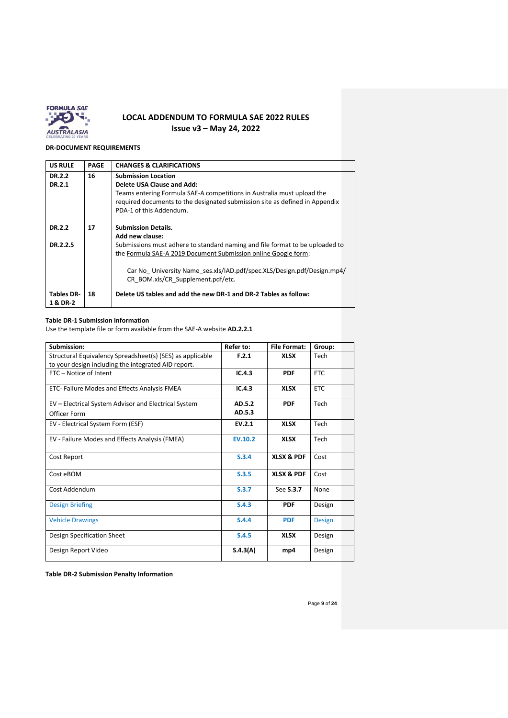

## **DR-DOCUMENT REQUIREMENTS**

| <b>US RULE</b>                | PAGE | <b>CHANGES &amp; CLARIFICATIONS</b>                                                                         |
|-------------------------------|------|-------------------------------------------------------------------------------------------------------------|
| DR.2.2                        | 16   | <b>Submission Location</b>                                                                                  |
| DR.2.1                        |      | Delete USA Clause and Add:                                                                                  |
|                               |      | Teams entering Formula SAE-A competitions in Australia must upload the                                      |
|                               |      | required documents to the designated submission site as defined in Appendix                                 |
|                               |      | PDA-1 of this Addendum.                                                                                     |
| DR.2.2                        | 17   | <b>Submission Details.</b>                                                                                  |
|                               |      | Add new clause:                                                                                             |
| DR.2.2.5                      |      | Submissions must adhere to standard naming and file format to be uploaded to                                |
|                               |      | the Formula SAE-A 2019 Document Submission online Google form:                                              |
|                               |      | Car No University Name ses.xls/IAD.pdf/spec.XLS/Design.pdf/Design.mp4/<br>CR BOM.xls/CR Supplement.pdf/etc. |
| <b>Tables DR-</b><br>1 & DR-2 | 18   | Delete US tables and add the new DR-1 and DR-2 Tables as follow:                                            |

### **Table DR-1 Submission Information**

Use the template file or form available from the SAE-A website **AD.2.2.1**

| Submission:                                               | Refer to:      | <b>File Format:</b>   | Group:        |  |
|-----------------------------------------------------------|----------------|-----------------------|---------------|--|
| Structural Equivalency Spreadsheet(s) (SES) as applicable | F.2.1          | <b>XLSX</b>           | Tech          |  |
| to your design including the integrated AID report.       |                |                       |               |  |
| ETC - Notice of Intent                                    | IC.4.3         | <b>PDF</b>            | <b>ETC</b>    |  |
| ETC- Failure Modes and Effects Analysis FMEA              | IC.4.3         | <b>XLSX</b>           | <b>ETC</b>    |  |
| EV - Electrical System Advisor and Electrical System      | AD.5.2         | <b>PDF</b>            | Tech          |  |
| Officer Form                                              | AD.5.3         |                       |               |  |
| EV - Electrical System Form (ESF)                         | EV.2.1         | <b>XLSX</b>           | Tech          |  |
| EV - Failure Modes and Effects Analysis (FMEA)            | <b>EV.10.2</b> | <b>XLSX</b>           | Tech          |  |
| Cost Report                                               | S.3.4          | <b>XLSX &amp; PDF</b> | Cost          |  |
| Cost eBOM                                                 | S.3.5          | <b>XLSX &amp; PDF</b> | Cost          |  |
| Cost Addendum                                             | S.3.7          | See <b>S.3.7</b>      | None          |  |
| <b>Design Briefing</b>                                    | S.4.3          | <b>PDF</b>            | Design        |  |
| <b>Vehicle Drawings</b>                                   | S.4.4          | <b>PDF</b>            | <b>Design</b> |  |
| Design Specification Sheet                                | S.4.5          | <b>XLSX</b>           | Design        |  |
| Design Report Video                                       | S.4.3(A)       | mp4                   | Design        |  |

**Table DR-2 Submission Penalty Information**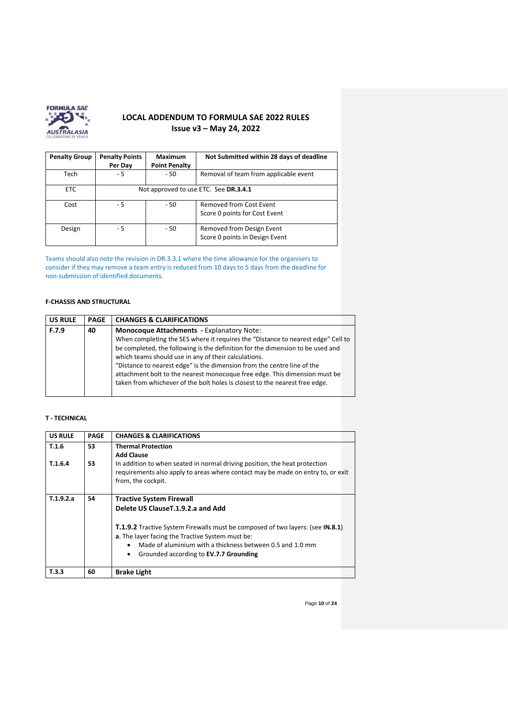

| <b>Penalty Group</b> | <b>Penalty Points</b><br>Per Day | <b>Maximum</b><br><b>Point Penalty</b> | Not Submitted within 28 days of deadline                    |
|----------------------|----------------------------------|----------------------------------------|-------------------------------------------------------------|
| <b>Tech</b>          | - 5                              | $-50$                                  | Removal of team from applicable event                       |
| <b>ETC</b>           |                                  |                                        | Not approved to use ETC. See DR.3.4.1                       |
| Cost                 | - 5                              | $-50$                                  | Removed from Cost Event<br>Score 0 points for Cost Event    |
| Design               | - 5                              | $-50$                                  | Removed from Design Event<br>Score 0 points in Design Event |

Teams should also note the revision in DR.3.3.1 where the time allowance for the organisers to consider if they may remove a team entry is reduced from 10 days to 5 days from the deadline for non-submission of identified documents.

### **F-CHASSIS AND STRUCTURAL**

| <b>US RULE</b> | <b>PAGE</b> | <b>CHANGES &amp; CLARIFICATIONS</b>                                                                                                                                                                                                                                                                                                                                                                                                                                                                                    |
|----------------|-------------|------------------------------------------------------------------------------------------------------------------------------------------------------------------------------------------------------------------------------------------------------------------------------------------------------------------------------------------------------------------------------------------------------------------------------------------------------------------------------------------------------------------------|
| F.7.9          | 40          | <b>Monocoque Attachments - Explanatory Note:</b><br>When completing the SES where it requires the "Distance to nearest edge" Cell to<br>be completed, the following is the definition for the dimension to be used and<br>which teams should use in any of their calculations.<br>"Distance to nearest edge" is the dimension from the centre line of the<br>attachment bolt to the nearest monocoque free edge. This dimension must be<br>taken from whichever of the bolt holes is closest to the nearest free edge. |

## **T - TECHNICAL**

| <b>US RULE</b> | <b>PAGE</b> | <b>CHANGES &amp; CLARIFICATIONS</b>                                                                                                                                                                                                                                   |  |
|----------------|-------------|-----------------------------------------------------------------------------------------------------------------------------------------------------------------------------------------------------------------------------------------------------------------------|--|
| T.1.6          | 53          | <b>Thermal Protection</b>                                                                                                                                                                                                                                             |  |
| T.1.6.4        | 53          | <b>Add Clause</b><br>In addition to when seated in normal driving position, the heat protection<br>requirements also apply to areas where contact may be made on entry to, or exit<br>from, the cockpit.                                                              |  |
| T.1.9.2.a      | 54          | <b>Tractive System Firewall</b><br>Delete US Clause T.1.9.2.a and Add                                                                                                                                                                                                 |  |
|                |             | <b>T.1.9.2</b> Tractive System Firewalls must be composed of two layers: (see <b>IN.8.1</b> )<br>a. The layer facing the Tractive System must be:<br>Made of aluminium with a thickness between 0.5 and 1.0 mm<br>Grounded according to EV.7.7 Grounding<br>$\bullet$ |  |
| T.3.3          | 60          | <b>Brake Light</b>                                                                                                                                                                                                                                                    |  |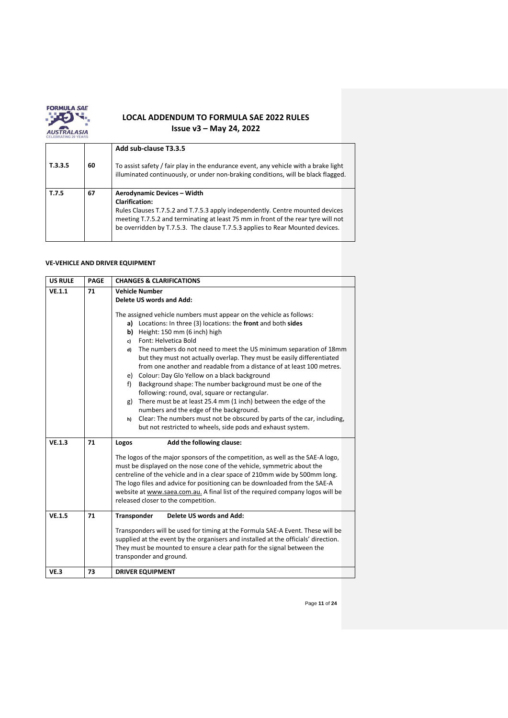

| T.3.3.5 | 60 | Add sub-clause T3.3.5<br>To assist safety / fair play in the endurance event, any vehicle with a brake light<br>illuminated continuously, or under non-braking conditions, will be black flagged.                                                                                                           |
|---------|----|-------------------------------------------------------------------------------------------------------------------------------------------------------------------------------------------------------------------------------------------------------------------------------------------------------------|
| T.7.5   | 67 | Aerodynamic Devices - Width<br><b>Clarification:</b><br>Rules Clauses T.7.5.2 and T.7.5.3 apply independently. Centre mounted devices<br>meeting T.7.5.2 and terminating at least 75 mm in front of the rear tyre will not<br>be overridden by T.7.5.3. The clause T.7.5.3 applies to Rear Mounted devices. |

## **VE-VEHICLE AND DRIVER EQUIPMENT**

| <b>US RULE</b>   | <b>PAGE</b> | <b>CHANGES &amp; CLARIFICATIONS</b>                                                                                                                                                                                                                                                                                                                                                                                                                                                                                                                                                                                                                                                                                                                                                                                                                                                                                                       |
|------------------|-------------|-------------------------------------------------------------------------------------------------------------------------------------------------------------------------------------------------------------------------------------------------------------------------------------------------------------------------------------------------------------------------------------------------------------------------------------------------------------------------------------------------------------------------------------------------------------------------------------------------------------------------------------------------------------------------------------------------------------------------------------------------------------------------------------------------------------------------------------------------------------------------------------------------------------------------------------------|
| VE.1.1           | 71          | <b>Vehicle Number</b><br>Delete US words and Add:<br>The assigned vehicle numbers must appear on the vehicle as follows:<br>a) Locations: In three (3) locations: the front and both sides<br>Height: 150 mm (6 inch) high<br>b)<br>Font: Helvetica Bold<br>c)<br>The numbers do not need to meet the US minimum separation of 18mm<br>d)<br>but they must not actually overlap. They must be easily differentiated<br>from one another and readable from a distance of at least 100 metres.<br>e) Colour: Day Glo Yellow on a black background<br>Background shape: The number background must be one of the<br>f)<br>following: round, oval, square or rectangular.<br>There must be at least 25.4 mm (1 inch) between the edge of the<br>g)<br>numbers and the edge of the background.<br>Clear: The numbers must not be obscured by parts of the car, including,<br>h)<br>but not restricted to wheels, side pods and exhaust system. |
| VE.1.3<br>VE.1.5 | 71<br>71    | Add the following clause:<br>Logos<br>The logos of the major sponsors of the competition, as well as the SAE-A logo,<br>must be displayed on the nose cone of the vehicle, symmetric about the<br>centreline of the vehicle and in a clear space of 210mm wide by 500mm long.<br>The logo files and advice for positioning can be downloaded from the SAE-A<br>website at www.saea.com.au. A final list of the required company logos will be<br>released closer to the competition.<br>Transponder<br><b>Delete US words and Add:</b><br>Transponders will be used for timing at the Formula SAE-A Event. These will be<br>supplied at the event by the organisers and installed at the officials' direction.<br>They must be mounted to ensure a clear path for the signal between the<br>transponder and ground.                                                                                                                       |
| VE.3             | 73          | <b>DRIVER EQUIPMENT</b>                                                                                                                                                                                                                                                                                                                                                                                                                                                                                                                                                                                                                                                                                                                                                                                                                                                                                                                   |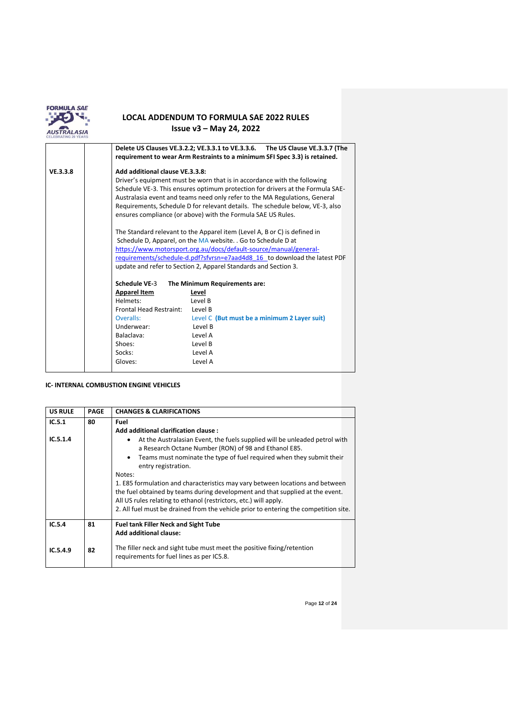

|          |                                 | Delete US Clauses VE.3.2.2; VE.3.3.1 to VE.3.3.6. The US Clause VE.3.3.7 (The<br>requirement to wear Arm Restraints to a minimum SFI Spec 3.3) is retained.                                                                                                                                                                                                                                                                                                                                                                                                                                                                                                                               |
|----------|---------------------------------|-------------------------------------------------------------------------------------------------------------------------------------------------------------------------------------------------------------------------------------------------------------------------------------------------------------------------------------------------------------------------------------------------------------------------------------------------------------------------------------------------------------------------------------------------------------------------------------------------------------------------------------------------------------------------------------------|
| VE.3.3.8 | Add additional clause VE.3.3.8: | Driver's equipment must be worn that is in accordance with the following<br>Schedule VE-3. This ensures optimum protection for drivers at the Formula SAE-<br>Australasia event and teams need only refer to the MA Regulations, General<br>Requirements, Schedule D for relevant details. The schedule below, VE-3, also<br>ensures compliance (or above) with the Formula SAE US Rules.<br>The Standard relevant to the Apparel item (Level A, B or C) is defined in<br>Schedule D, Apparel, on the MA website. . Go to Schedule D at<br>https://www.motorsport.org.au/docs/default-source/manual/general-<br>requirements/schedule-d.pdf?sfvrsn=e7aad4d8 16 to download the latest PDF |
|          |                                 | update and refer to Section 2, Apparel Standards and Section 3.                                                                                                                                                                                                                                                                                                                                                                                                                                                                                                                                                                                                                           |
|          | <b>Schedule VE-3</b>            | The Minimum Requirements are:                                                                                                                                                                                                                                                                                                                                                                                                                                                                                                                                                                                                                                                             |
|          | <b>Apparel Item</b>             | Level                                                                                                                                                                                                                                                                                                                                                                                                                                                                                                                                                                                                                                                                                     |
|          | Helmets:                        | Level B                                                                                                                                                                                                                                                                                                                                                                                                                                                                                                                                                                                                                                                                                   |
|          | Frontal Head Restraint:         | Level B                                                                                                                                                                                                                                                                                                                                                                                                                                                                                                                                                                                                                                                                                   |
|          | Overalls:                       | Level C (But must be a minimum 2 Layer suit)                                                                                                                                                                                                                                                                                                                                                                                                                                                                                                                                                                                                                                              |
|          | Underwear:                      | Level B                                                                                                                                                                                                                                                                                                                                                                                                                                                                                                                                                                                                                                                                                   |
|          | Balaclava:                      | Level A                                                                                                                                                                                                                                                                                                                                                                                                                                                                                                                                                                                                                                                                                   |
|          | Shoes:                          | Level B                                                                                                                                                                                                                                                                                                                                                                                                                                                                                                                                                                                                                                                                                   |
|          | Socks:                          | Level A                                                                                                                                                                                                                                                                                                                                                                                                                                                                                                                                                                                                                                                                                   |
|          | Gloves:                         | Level A                                                                                                                                                                                                                                                                                                                                                                                                                                                                                                                                                                                                                                                                                   |

### **IC- INTERNAL COMBUSTION ENGINE VEHICLES**

| <b>US RULE</b> | <b>PAGE</b> | <b>CHANGES &amp; CLARIFICATIONS</b>                                                                                                                                                                                                                                                                                                                                                                                                                                                                                                                                                     |
|----------------|-------------|-----------------------------------------------------------------------------------------------------------------------------------------------------------------------------------------------------------------------------------------------------------------------------------------------------------------------------------------------------------------------------------------------------------------------------------------------------------------------------------------------------------------------------------------------------------------------------------------|
| IC.5.1         | 80          | Fuel<br>Add additional clarification clause:                                                                                                                                                                                                                                                                                                                                                                                                                                                                                                                                            |
| IC.5.1.4       |             | At the Australasian Event, the fuels supplied will be unleaded petrol with<br>a Research Octane Number (RON) of 98 and Ethanol E85.<br>Teams must nominate the type of fuel required when they submit their<br>$\bullet$<br>entry registration.<br>Notes:<br>1. E85 formulation and characteristics may vary between locations and between<br>the fuel obtained by teams during development and that supplied at the event.<br>All US rules relating to ethanol (restrictors, etc.) will apply.<br>2. All fuel must be drained from the vehicle prior to entering the competition site. |
| IC.5.4         | 81          | <b>Fuel tank Filler Neck and Sight Tube</b><br>Add additional clause:                                                                                                                                                                                                                                                                                                                                                                                                                                                                                                                   |
| IC.5.4.9       | 82          | The filler neck and sight tube must meet the positive fixing/retention<br>requirements for fuel lines as per IC5.8.                                                                                                                                                                                                                                                                                                                                                                                                                                                                     |

Page **12** of **24**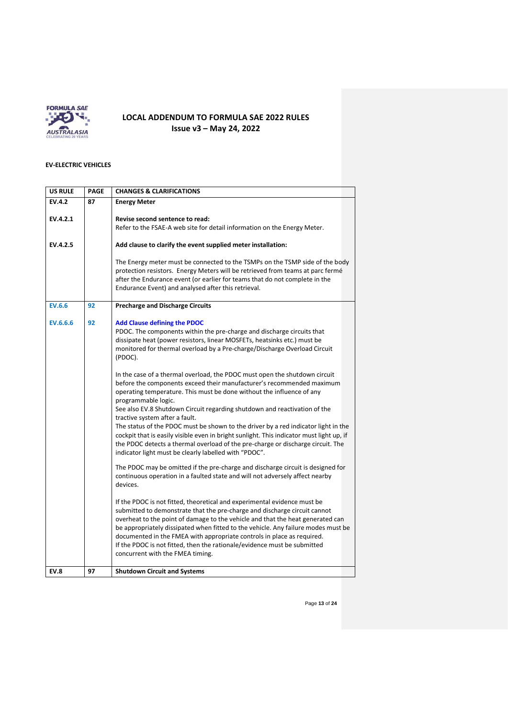

## **EV-ELECTRIC VEHICLES**

| <b>US RULE</b> | <b>PAGE</b> | <b>CHANGES &amp; CLARIFICATIONS</b>                                                                                                                                                                                                                                                                                                                                                                                                                                                                                    |
|----------------|-------------|------------------------------------------------------------------------------------------------------------------------------------------------------------------------------------------------------------------------------------------------------------------------------------------------------------------------------------------------------------------------------------------------------------------------------------------------------------------------------------------------------------------------|
| EV.4.2         | 87          | <b>Energy Meter</b>                                                                                                                                                                                                                                                                                                                                                                                                                                                                                                    |
| EV.4.2.1       |             | Revise second sentence to read:                                                                                                                                                                                                                                                                                                                                                                                                                                                                                        |
|                |             | Refer to the FSAE-A web site for detail information on the Energy Meter.                                                                                                                                                                                                                                                                                                                                                                                                                                               |
| EV.4.2.5       |             | Add clause to clarify the event supplied meter installation:                                                                                                                                                                                                                                                                                                                                                                                                                                                           |
|                |             | The Energy meter must be connected to the TSMPs on the TSMP side of the body<br>protection resistors. Energy Meters will be retrieved from teams at parc fermé<br>after the Endurance event (or earlier for teams that do not complete in the<br>Endurance Event) and analysed after this retrieval.                                                                                                                                                                                                                   |
| <b>EV.6.6</b>  | 92          | <b>Precharge and Discharge Circuits</b>                                                                                                                                                                                                                                                                                                                                                                                                                                                                                |
| EV.6.6.6       | 92          | <b>Add Clause defining the PDOC</b><br>PDOC. The components within the pre-charge and discharge circuits that<br>dissipate heat (power resistors, linear MOSFETs, heatsinks etc.) must be<br>monitored for thermal overload by a Pre-charge/Discharge Overload Circuit<br>(PDOC).                                                                                                                                                                                                                                      |
|                |             | In the case of a thermal overload, the PDOC must open the shutdown circuit<br>before the components exceed their manufacturer's recommended maximum<br>operating temperature. This must be done without the influence of any<br>programmable logic.<br>See also EV.8 Shutdown Circuit regarding shutdown and reactivation of the<br>tractive system after a fault.                                                                                                                                                     |
|                |             | The status of the PDOC must be shown to the driver by a red indicator light in the<br>cockpit that is easily visible even in bright sunlight. This indicator must light up, if<br>the PDOC detects a thermal overload of the pre-charge or discharge circuit. The<br>indicator light must be clearly labelled with "PDOC".                                                                                                                                                                                             |
|                |             | The PDOC may be omitted if the pre-charge and discharge circuit is designed for<br>continuous operation in a faulted state and will not adversely affect nearby<br>devices.                                                                                                                                                                                                                                                                                                                                            |
|                |             | If the PDOC is not fitted, theoretical and experimental evidence must be<br>submitted to demonstrate that the pre-charge and discharge circuit cannot<br>overheat to the point of damage to the vehicle and that the heat generated can<br>be appropriately dissipated when fitted to the vehicle. Any failure modes must be<br>documented in the FMEA with appropriate controls in place as required.<br>If the PDOC is not fitted, then the rationale/evidence must be submitted<br>concurrent with the FMEA timing. |
| <b>EV.8</b>    | 97          | <b>Shutdown Circuit and Systems</b>                                                                                                                                                                                                                                                                                                                                                                                                                                                                                    |

Page **13** of **24**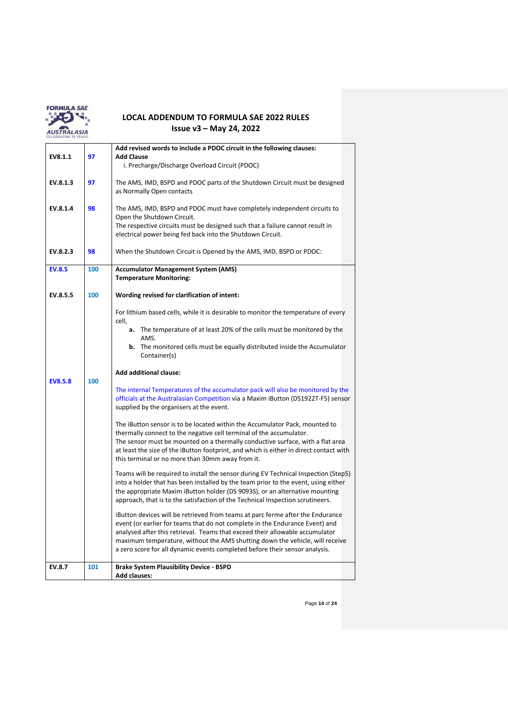

|                |     | Add revised words to include a PDOC circuit in the following clauses:                                                                                                                                                                                                                                                                                                                                         |
|----------------|-----|---------------------------------------------------------------------------------------------------------------------------------------------------------------------------------------------------------------------------------------------------------------------------------------------------------------------------------------------------------------------------------------------------------------|
| EV8.1.1        | 97  | <b>Add Clause</b>                                                                                                                                                                                                                                                                                                                                                                                             |
|                |     | i. Precharge/Discharge Overload Circuit (PDOC)                                                                                                                                                                                                                                                                                                                                                                |
| EV.8.1.3       | 97  | The AMS, IMD, BSPD and PDOC parts of the Shutdown Circuit must be designed<br>as Normally Open contacts                                                                                                                                                                                                                                                                                                       |
| EV.8.1.4       | 98  | The AMS, IMD, BSPD and PDOC must have completely independent circuits to<br>Open the Shutdown Circuit.<br>The respective circuits must be designed such that a failure cannot result in<br>electrical power being fed back into the Shutdown Circuit.                                                                                                                                                         |
| EV.8.2.3       | 98  | When the Shutdown Circuit is Opened by the AMS, IMD, BSPD or PDOC:                                                                                                                                                                                                                                                                                                                                            |
| <b>EV.8.5</b>  | 100 | <b>Accumulator Management System (AMS)</b>                                                                                                                                                                                                                                                                                                                                                                    |
|                |     | <b>Temperature Monitoring:</b>                                                                                                                                                                                                                                                                                                                                                                                |
|                |     |                                                                                                                                                                                                                                                                                                                                                                                                               |
| EV.8.5.5       | 100 | Wording revised for clarification of intent:                                                                                                                                                                                                                                                                                                                                                                  |
|                |     | For lithium based cells, while it is desirable to monitor the temperature of every<br>cell,                                                                                                                                                                                                                                                                                                                   |
|                |     | <b>a.</b> The temperature of at least 20% of the cells must be monitored by the                                                                                                                                                                                                                                                                                                                               |
|                |     | AMS.<br><b>b.</b> The monitored cells must be equally distributed inside the Accumulator<br>Container(s)                                                                                                                                                                                                                                                                                                      |
| <b>EV8.5.8</b> | 100 | <b>Add additional clause:</b>                                                                                                                                                                                                                                                                                                                                                                                 |
|                |     | The internal Temperatures of the accumulator pack will also be monitored by the<br>officials at the Australasian Competition via a Maxim iButton (DS1922T-F5) sensor<br>supplied by the organisers at the event.                                                                                                                                                                                              |
|                |     | The iButton sensor is to be located within the Accumulator Pack, mounted to<br>thermally connect to the negative cell terminal of the accumulator.<br>The sensor must be mounted on a thermally conductive surface, with a flat area<br>at least the size of the iButton footprint, and which is either in direct contact with<br>this terminal or no more than 30mm away from it.                            |
|                |     | Teams will be required to install the sensor during EV Technical Inspection (Step5)<br>into a holder that has been installed by the team prior to the event, using either<br>the appropriate Maxim iButton holder (DS 9093S), or an alternative mounting<br>approach, that is to the satisfaction of the Technical Inspection scrutineers.                                                                    |
|                |     | iButton devices will be retrieved from teams at parc ferme after the Endurance<br>event (or earlier for teams that do not complete in the Endurance Event) and<br>analysed after this retrieval. Teams that exceed their allowable accumulator<br>maximum temperature, without the AMS shutting down the vehicle, will receive<br>a zero score for all dynamic events completed before their sensor analysis. |
| <b>EV.8.7</b>  | 101 | <b>Brake System Plausibility Device - BSPD</b><br><b>Add clauses:</b>                                                                                                                                                                                                                                                                                                                                         |

Page **14** of **24**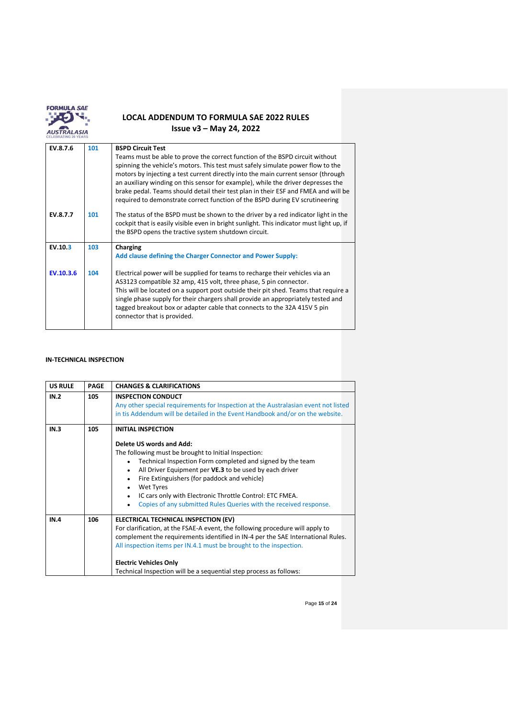

| EV.8.7.6  | 101 | <b>BSPD Circuit Test</b>                                                                                                                                                                                                                                                                                                                                                                                                                                                                                       |
|-----------|-----|----------------------------------------------------------------------------------------------------------------------------------------------------------------------------------------------------------------------------------------------------------------------------------------------------------------------------------------------------------------------------------------------------------------------------------------------------------------------------------------------------------------|
|           |     | Teams must be able to prove the correct function of the BSPD circuit without<br>spinning the vehicle's motors. This test must safely simulate power flow to the<br>motors by injecting a test current directly into the main current sensor (through<br>an auxiliary winding on this sensor for example), while the driver depresses the<br>brake pedal. Teams should detail their test plan in their ESF and FMEA and will be<br>required to demonstrate correct function of the BSPD during EV scrutineering |
| EV.8.7.7  | 101 | The status of the BSPD must be shown to the driver by a red indicator light in the<br>cockpit that is easily visible even in bright sunlight. This indicator must light up, if<br>the BSPD opens the tractive system shutdown circuit.                                                                                                                                                                                                                                                                         |
| EV.10.3   | 103 | Charging<br>Add clause defining the Charger Connector and Power Supply:                                                                                                                                                                                                                                                                                                                                                                                                                                        |
| EV.10.3.6 | 104 | Electrical power will be supplied for teams to recharge their vehicles via an<br>AS3123 compatible 32 amp, 415 volt, three phase, 5 pin connector.<br>This will be located on a support post outside their pit shed. Teams that require a<br>single phase supply for their chargers shall provide an appropriately tested and<br>tagged breakout box or adapter cable that connects to the 32A 415V 5 pin<br>connector that is provided.                                                                       |

## **IN-TECHNICAL INSPECTION**

| <b>US RULE</b> | <b>PAGE</b> | <b>CHANGES &amp; CLARIFICATIONS</b>                                                                                                                                                                                                                                                                                                                                                                                                                                                             |
|----------------|-------------|-------------------------------------------------------------------------------------------------------------------------------------------------------------------------------------------------------------------------------------------------------------------------------------------------------------------------------------------------------------------------------------------------------------------------------------------------------------------------------------------------|
| IN.2           | 105         | <b>INSPECTION CONDUCT</b><br>Any other special requirements for Inspection at the Australasian event not listed<br>in tis Addendum will be detailed in the Event Handbook and/or on the website.                                                                                                                                                                                                                                                                                                |
| IN.3           | 105         | <b>INITIAL INSPECTION</b><br>Delete US words and Add:<br>The following must be brought to Initial Inspection:<br>Technical Inspection Form completed and signed by the team<br>$\bullet$<br>All Driver Equipment per VE.3 to be used by each driver<br>$\bullet$<br>Fire Extinguishers (for paddock and vehicle)<br>$\bullet$<br><b>Wet Tyres</b><br>$\bullet$<br>IC cars only with Electronic Throttle Control: ETC FMEA.<br>Copies of any submitted Rules Queries with the received response. |
| IN.4           | 106         | ELECTRICAL TECHNICAL INSPECTION (EV)<br>For clarification, at the FSAE-A event, the following procedure will apply to<br>complement the requirements identified in IN-4 per the SAE International Rules.<br>All inspection items per IN.4.1 must be brought to the inspection.<br><b>Electric Vehicles Only</b><br>Technical Inspection will be a sequential step process as follows:                                                                                                           |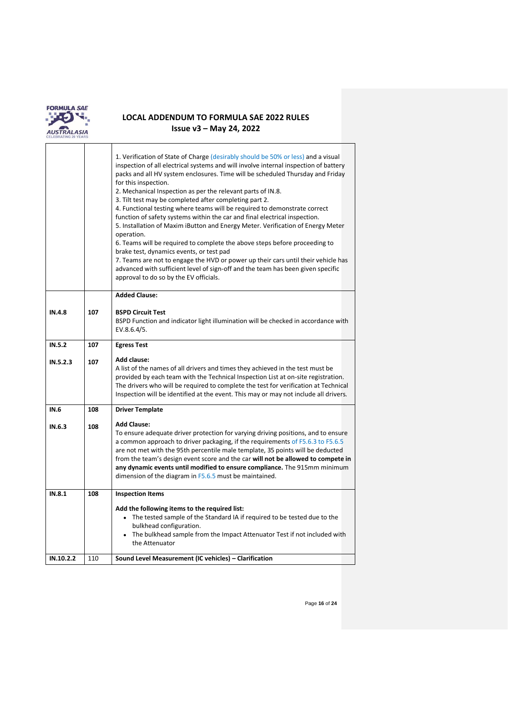

 $\overline{\Gamma}$ 

|               |     | 1. Verification of State of Charge (desirably should be 50% or less) and a visual<br>inspection of all electrical systems and will involve internal inspection of battery<br>packs and all HV system enclosures. Time will be scheduled Thursday and Friday<br>for this inspection.<br>2. Mechanical Inspection as per the relevant parts of IN.8.<br>3. Tilt test may be completed after completing part 2.<br>4. Functional testing where teams will be required to demonstrate correct<br>function of safety systems within the car and final electrical inspection.<br>5. Installation of Maxim iButton and Energy Meter. Verification of Energy Meter<br>operation.<br>6. Teams will be required to complete the above steps before proceeding to<br>brake test, dynamics events, or test pad<br>7. Teams are not to engage the HVD or power up their cars until their vehicle has<br>advanced with sufficient level of sign-off and the team has been given specific<br>approval to do so by the EV officials. |
|---------------|-----|----------------------------------------------------------------------------------------------------------------------------------------------------------------------------------------------------------------------------------------------------------------------------------------------------------------------------------------------------------------------------------------------------------------------------------------------------------------------------------------------------------------------------------------------------------------------------------------------------------------------------------------------------------------------------------------------------------------------------------------------------------------------------------------------------------------------------------------------------------------------------------------------------------------------------------------------------------------------------------------------------------------------|
|               |     | <b>Added Clause:</b>                                                                                                                                                                                                                                                                                                                                                                                                                                                                                                                                                                                                                                                                                                                                                                                                                                                                                                                                                                                                 |
| <b>IN.4.8</b> | 107 | <b>BSPD Circuit Test</b><br>BSPD Function and indicator light illumination will be checked in accordance with<br>EV.8.6.4/5.                                                                                                                                                                                                                                                                                                                                                                                                                                                                                                                                                                                                                                                                                                                                                                                                                                                                                         |
| IN.5.2        | 107 | <b>Egress Test</b>                                                                                                                                                                                                                                                                                                                                                                                                                                                                                                                                                                                                                                                                                                                                                                                                                                                                                                                                                                                                   |
| IN.5.2.3      | 107 | <b>Add clause:</b><br>A list of the names of all drivers and times they achieved in the test must be<br>provided by each team with the Technical Inspection List at on-site registration.<br>The drivers who will be required to complete the test for verification at Technical<br>Inspection will be identified at the event. This may or may not include all drivers.                                                                                                                                                                                                                                                                                                                                                                                                                                                                                                                                                                                                                                             |
| <b>IN.6</b>   | 108 | <b>Driver Template</b>                                                                                                                                                                                                                                                                                                                                                                                                                                                                                                                                                                                                                                                                                                                                                                                                                                                                                                                                                                                               |
| IN.6.3        | 108 | <b>Add Clause:</b><br>To ensure adequate driver protection for varying driving positions, and to ensure<br>a common approach to driver packaging, if the requirements of F5.6.3 to F5.6.5<br>are not met with the 95th percentile male template, 35 points will be deducted<br>from the team's design event score and the car will not be allowed to compete in<br>any dynamic events until modified to ensure compliance. The 915mm minimum<br>dimension of the diagram in F5.6.5 must be maintained.                                                                                                                                                                                                                                                                                                                                                                                                                                                                                                               |
| IN.8.1        | 108 | <b>Inspection Items</b>                                                                                                                                                                                                                                                                                                                                                                                                                                                                                                                                                                                                                                                                                                                                                                                                                                                                                                                                                                                              |
|               |     | Add the following items to the required list:<br>• The tested sample of the Standard IA if required to be tested due to the<br>bulkhead configuration.<br>• The bulkhead sample from the Impact Attenuator Test if not included with<br>the Attenuator                                                                                                                                                                                                                                                                                                                                                                                                                                                                                                                                                                                                                                                                                                                                                               |
| IN.10.2.2     | 110 | Sound Level Measurement (IC vehicles) - Clarification                                                                                                                                                                                                                                                                                                                                                                                                                                                                                                                                                                                                                                                                                                                                                                                                                                                                                                                                                                |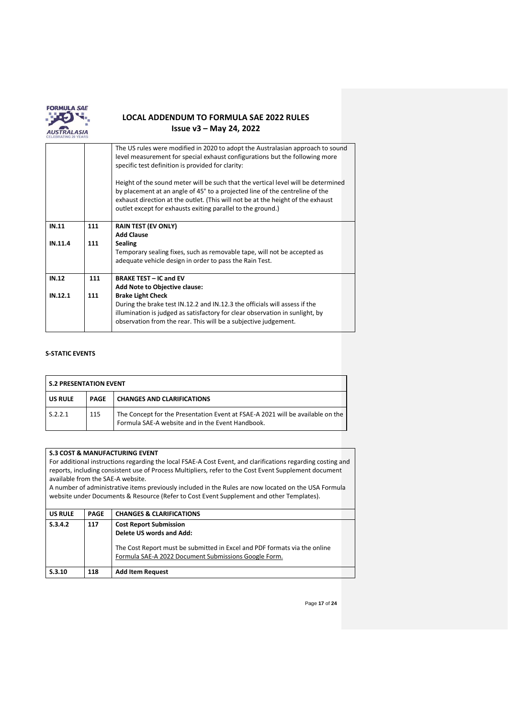

|         |     | The US rules were modified in 2020 to adopt the Australasian approach to sound<br>level measurement for special exhaust configurations but the following more<br>specific test definition is provided for clarity:<br>Height of the sound meter will be such that the vertical level will be determined<br>by placement at an angle of 45° to a projected line of the centreline of the<br>exhaust direction at the outlet. (This will not be at the height of the exhaust<br>outlet except for exhausts exiting parallel to the ground.) |
|---------|-----|-------------------------------------------------------------------------------------------------------------------------------------------------------------------------------------------------------------------------------------------------------------------------------------------------------------------------------------------------------------------------------------------------------------------------------------------------------------------------------------------------------------------------------------------|
|         |     |                                                                                                                                                                                                                                                                                                                                                                                                                                                                                                                                           |
| IN.11   | 111 | <b>RAIN TEST (EV ONLY)</b>                                                                                                                                                                                                                                                                                                                                                                                                                                                                                                                |
|         |     | <b>Add Clause</b>                                                                                                                                                                                                                                                                                                                                                                                                                                                                                                                         |
| IN.11.4 | 111 | <b>Sealing</b>                                                                                                                                                                                                                                                                                                                                                                                                                                                                                                                            |
|         |     | Temporary sealing fixes, such as removable tape, will not be accepted as                                                                                                                                                                                                                                                                                                                                                                                                                                                                  |
|         |     | adequate vehicle design in order to pass the Rain Test.                                                                                                                                                                                                                                                                                                                                                                                                                                                                                   |
| IN.12   | 111 | <b>BRAKE TEST - IC and EV</b>                                                                                                                                                                                                                                                                                                                                                                                                                                                                                                             |
|         |     | <b>Add Note to Objective clause:</b>                                                                                                                                                                                                                                                                                                                                                                                                                                                                                                      |
| IN.12.1 | 111 | <b>Brake Light Check</b>                                                                                                                                                                                                                                                                                                                                                                                                                                                                                                                  |
|         |     | During the brake test IN.12.2 and IN.12.3 the officials will assess if the                                                                                                                                                                                                                                                                                                                                                                                                                                                                |
|         |     | illumination is judged as satisfactory for clear observation in sunlight, by                                                                                                                                                                                                                                                                                                                                                                                                                                                              |
|         |     | observation from the rear. This will be a subjective judgement.                                                                                                                                                                                                                                                                                                                                                                                                                                                                           |

### **S-STATIC EVENTS**

| <b>S.2 PRESENTATION EVENT</b> |      |                                                                                                                                    |
|-------------------------------|------|------------------------------------------------------------------------------------------------------------------------------------|
| <b>US RULE</b>                | PAGF | <b>CHANGES AND CLARIFICATIONS</b>                                                                                                  |
| S.2.2.1                       | 115  | The Concept for the Presentation Event at FSAE-A 2021 will be available on the<br>Formula SAE-A website and in the Event Handbook. |

### **S.3 COST & MANUFACTURING EVENT**

For additional instructions regarding the local FSAE-A Cost Event, and clarifications regarding costing and reports, including consistent use of Process Multipliers, refer to the Cost Event Supplement document available from the SAE-A website.

A number of administrative items previously included in the Rules are now located on the USA Formula website under Documents & Resource (Refer to Cost Event Supplement and other Templates).

| S.3.4.2<br><b>Cost Report Submission</b><br>117<br>Delete US words and Add:<br>The Cost Report must be submitted in Excel and PDF formats via the online<br>Formula SAE-A 2022 Document Submissions Google Form. | S.3.10         | 118         | <b>Add Item Request</b>             |  |
|------------------------------------------------------------------------------------------------------------------------------------------------------------------------------------------------------------------|----------------|-------------|-------------------------------------|--|
|                                                                                                                                                                                                                  |                |             |                                     |  |
|                                                                                                                                                                                                                  |                |             |                                     |  |
|                                                                                                                                                                                                                  | <b>US RULE</b> | <b>PAGE</b> | <b>CHANGES &amp; CLARIFICATIONS</b> |  |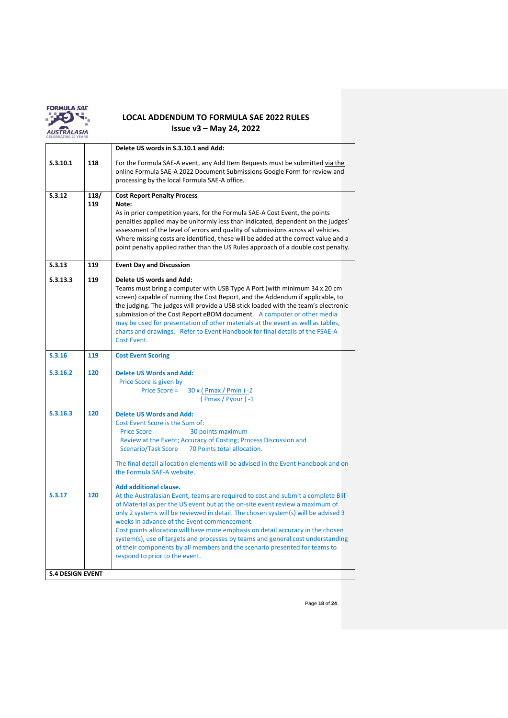

|                         |             | Delete US words in S.3.10.1 and Add:                                                                                                                                                                                                                                                                                                                                                                                                                                                                                                      |  |  |  |
|-------------------------|-------------|-------------------------------------------------------------------------------------------------------------------------------------------------------------------------------------------------------------------------------------------------------------------------------------------------------------------------------------------------------------------------------------------------------------------------------------------------------------------------------------------------------------------------------------------|--|--|--|
| S.3.10.1                | 118         | For the Formula SAE-A event, any Add Item Requests must be submitted via the<br>online Formula SAE-A 2022 Document Submissions Google Form for review and<br>processing by the local Formula SAE-A office.                                                                                                                                                                                                                                                                                                                                |  |  |  |
| S.3.12                  | 118/<br>119 | <b>Cost Report Penalty Process</b><br>Note:<br>As in prior competition years, for the Formula SAE-A Cost Event, the points<br>penalties applied may be uniformly less than indicated, dependent on the judges'<br>assessment of the level of errors and quality of submissions across all vehicles.<br>Where missing costs are identified, these will be added at the correct value and a<br>point penalty applied rather than the US Rules approach of a double cost penalty.                                                            |  |  |  |
| S.3.13                  | 119         | <b>Event Day and Discussion</b>                                                                                                                                                                                                                                                                                                                                                                                                                                                                                                           |  |  |  |
| S.3.13.3                | 119         | Delete US words and Add:<br>Teams must bring a computer with USB Type A Port (with minimum 34 x 20 cm<br>screen) capable of running the Cost Report, and the Addendum if applicable, to<br>the judging. The judges will provide a USB stick loaded with the team's electronic<br>submission of the Cost Report eBOM document. A computer or other media<br>may be used for presentation of other materials at the event as well as tables,<br>charts and drawings. Refer to Event Handbook for final details of the FSAE-A<br>Cost Event. |  |  |  |
| S.3.16                  | 119         | <b>Cost Event Scoring</b>                                                                                                                                                                                                                                                                                                                                                                                                                                                                                                                 |  |  |  |
| S.3.16.2                | 120         | <b>Delete US Words and Add:</b><br>Price Score is given by<br>Price Score =<br>30 x ( Pmax / Pmin ) -1<br>$( Pmax / Pyour ) - 1$                                                                                                                                                                                                                                                                                                                                                                                                          |  |  |  |
| S.3.16.3<br>S.3.17      | 120<br>120  | <b>Delete US Words and Add:</b><br>Cost Event Score is the Sum of:<br><b>Price Score</b><br>30 points maximum<br>Review at the Event; Accuracy of Costing; Process Discussion and<br><b>Scenario/Task Score</b><br>70 Points total allocation.<br>The final detail allocation elements will be advised in the Event Handbook and on<br>the Formula SAE-A website.<br><b>Add additional clause.</b><br>At the Australasian Event, teams are required to cost and submit a complete Bill                                                    |  |  |  |
| <b>S.4 DESIGN EVENT</b> |             | of Material as per the US event but at the on-site event review a maximum of<br>only 2 systems will be reviewed in detail. The chosen system(s) will be advised 3<br>weeks in advance of the Event commencement.<br>Cost points allocation will have more emphasis on detail accuracy in the chosen<br>system(s), use of targets and processes by teams and general cost understanding<br>of their components by all members and the scenario presented for teams to<br>respond to prior to the event.                                    |  |  |  |
|                         |             |                                                                                                                                                                                                                                                                                                                                                                                                                                                                                                                                           |  |  |  |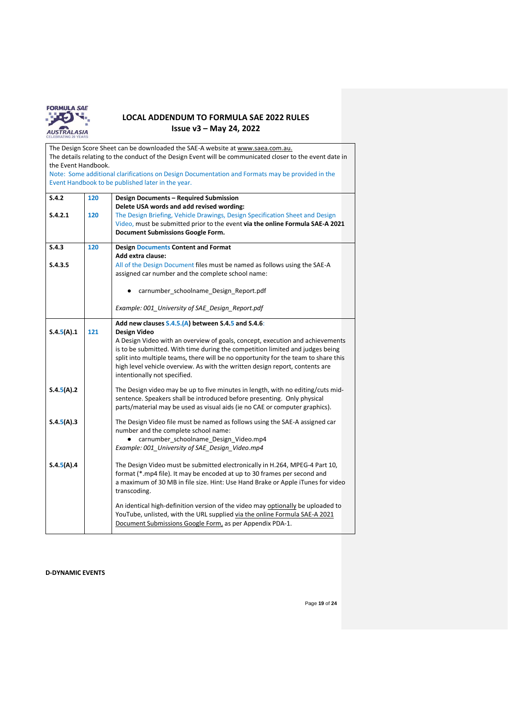

| The Design Score Sheet can be downloaded the SAE-A website at www.saea.com.au.                           |     |                                                                                                              |  |  |  |  |  |
|----------------------------------------------------------------------------------------------------------|-----|--------------------------------------------------------------------------------------------------------------|--|--|--|--|--|
| The details relating to the conduct of the Design Event will be communicated closer to the event date in |     |                                                                                                              |  |  |  |  |  |
| the Event Handbook.                                                                                      |     |                                                                                                              |  |  |  |  |  |
|                                                                                                          |     | Note: Some additional clarifications on Design Documentation and Formats may be provided in the              |  |  |  |  |  |
|                                                                                                          |     | Event Handbook to be published later in the year.                                                            |  |  |  |  |  |
| S.4.2                                                                                                    | 120 | <b>Design Documents - Required Submission</b>                                                                |  |  |  |  |  |
|                                                                                                          |     | Delete USA words and add revised wording:                                                                    |  |  |  |  |  |
| S.4.2.1                                                                                                  | 120 | The Design Briefing, Vehicle Drawings, Design Specification Sheet and Design                                 |  |  |  |  |  |
|                                                                                                          |     | Video, must be submitted prior to the event via the online Formula SAE-A 2021                                |  |  |  |  |  |
|                                                                                                          |     | <b>Document Submissions Google Form.</b>                                                                     |  |  |  |  |  |
| S.4.3                                                                                                    | 120 | <b>Design Documents Content and Format</b>                                                                   |  |  |  |  |  |
|                                                                                                          |     | Add extra clause:                                                                                            |  |  |  |  |  |
| S.4.3.5                                                                                                  |     | All of the Design Document files must be named as follows using the SAE-A                                    |  |  |  |  |  |
|                                                                                                          |     | assigned car number and the complete school name:                                                            |  |  |  |  |  |
|                                                                                                          |     |                                                                                                              |  |  |  |  |  |
|                                                                                                          |     | carnumber_schoolname_Design_Report.pdf                                                                       |  |  |  |  |  |
|                                                                                                          |     |                                                                                                              |  |  |  |  |  |
|                                                                                                          |     | Example: 001_University of SAE_Design_Report.pdf                                                             |  |  |  |  |  |
|                                                                                                          |     | Add new clauses S.4.5.(A) between S.4.5 and S.4.6:                                                           |  |  |  |  |  |
| S.4.5(A).1                                                                                               | 121 | Design Video                                                                                                 |  |  |  |  |  |
|                                                                                                          |     | A Design Video with an overview of goals, concept, execution and achievements                                |  |  |  |  |  |
|                                                                                                          |     | is to be submitted. With time during the competition limited and judges being                                |  |  |  |  |  |
|                                                                                                          |     | split into multiple teams, there will be no opportunity for the team to share this                           |  |  |  |  |  |
|                                                                                                          |     | high level vehicle overview. As with the written design report, contents are<br>intentionally not specified. |  |  |  |  |  |
|                                                                                                          |     |                                                                                                              |  |  |  |  |  |
| S.4.5(A).2                                                                                               |     | The Design video may be up to five minutes in length, with no editing/cuts mid-                              |  |  |  |  |  |
|                                                                                                          |     | sentence. Speakers shall be introduced before presenting. Only physical                                      |  |  |  |  |  |
|                                                                                                          |     | parts/material may be used as visual aids (ie no CAE or computer graphics).                                  |  |  |  |  |  |
| S.4.5(A).3                                                                                               |     | The Design Video file must be named as follows using the SAE-A assigned car                                  |  |  |  |  |  |
|                                                                                                          |     | number and the complete school name:                                                                         |  |  |  |  |  |
|                                                                                                          |     | carnumber_schoolname_Design_Video.mp4                                                                        |  |  |  |  |  |
|                                                                                                          |     | Example: 001_University of SAE_Design_Video.mp4                                                              |  |  |  |  |  |
|                                                                                                          |     |                                                                                                              |  |  |  |  |  |
| S.4.5(A).4                                                                                               |     | The Design Video must be submitted electronically in H.264, MPEG-4 Part 10,                                  |  |  |  |  |  |
|                                                                                                          |     | format (*.mp4 file). It may be encoded at up to 30 frames per second and                                     |  |  |  |  |  |
|                                                                                                          |     | a maximum of 30 MB in file size. Hint: Use Hand Brake or Apple iTunes for video<br>transcoding.              |  |  |  |  |  |
|                                                                                                          |     |                                                                                                              |  |  |  |  |  |
|                                                                                                          |     | An identical high-definition version of the video may optionally be uploaded to                              |  |  |  |  |  |
|                                                                                                          |     | YouTube, unlisted, with the URL supplied via the online Formula SAE-A 2021                                   |  |  |  |  |  |
|                                                                                                          |     | Document Submissions Google Form, as per Appendix PDA-1.                                                     |  |  |  |  |  |
|                                                                                                          |     |                                                                                                              |  |  |  |  |  |

### **D-DYNAMIC EVENTS**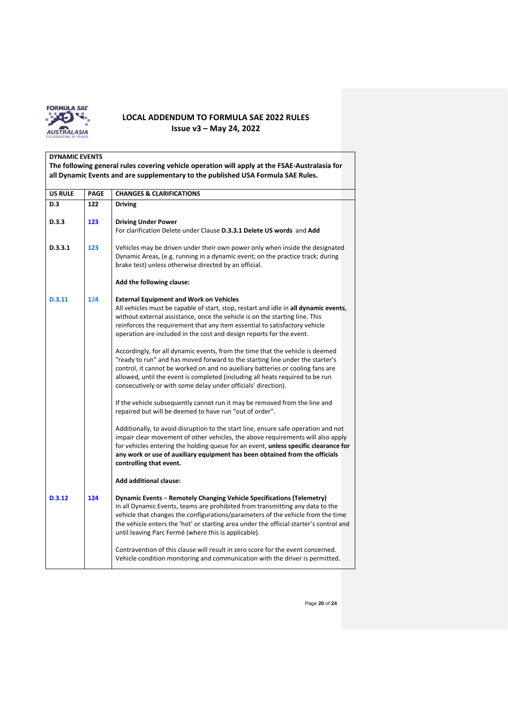

| <b>DYNAMIC EVENTS</b><br>The following general rules covering vehicle operation will apply at the FSAE-Australasia for<br>all Dynamic Events and are supplementary to the published USA Formula SAE Rules. |             |                                                                                                                                                                                                                                                                                                                                                                                                    |  |  |  |
|------------------------------------------------------------------------------------------------------------------------------------------------------------------------------------------------------------|-------------|----------------------------------------------------------------------------------------------------------------------------------------------------------------------------------------------------------------------------------------------------------------------------------------------------------------------------------------------------------------------------------------------------|--|--|--|
| <b>US RULE</b>                                                                                                                                                                                             | <b>PAGE</b> | <b>CHANGES &amp; CLARIFICATIONS</b>                                                                                                                                                                                                                                                                                                                                                                |  |  |  |
| D.3                                                                                                                                                                                                        | 122         | <b>Driving</b>                                                                                                                                                                                                                                                                                                                                                                                     |  |  |  |
| D.3.3                                                                                                                                                                                                      | 123         | <b>Driving Under Power</b><br>For clarification Delete under Clause D.3.3.1 Delete US words and Add                                                                                                                                                                                                                                                                                                |  |  |  |
| D.3.3.1                                                                                                                                                                                                    | 123         | Vehicles may be driven under their own power only when inside the designated<br>Dynamic Areas, (e.g. running in a dynamic event; on the practice track; during<br>brake test) unless otherwise directed by an official.                                                                                                                                                                            |  |  |  |
|                                                                                                                                                                                                            |             | Add the following clause:                                                                                                                                                                                                                                                                                                                                                                          |  |  |  |
| D.3.11                                                                                                                                                                                                     | 124         | <b>External Equipment and Work on Vehicles</b><br>All vehicles must be capable of start, stop, restart and idle in all dynamic events,<br>without external assistance, once the vehicle is on the starting line. This<br>reinforces the requirement that any item essential to satisfactory vehicle<br>operation are included in the cost and design reports for the event.                        |  |  |  |
|                                                                                                                                                                                                            |             | Accordingly, for all dynamic events, from the time that the vehicle is deemed<br>"ready to run" and has moved forward to the starting line under the starter's<br>control, it cannot be worked on and no auxiliary batteries or cooling fans are<br>allowed, until the event is completed (including all heats required to be run<br>consecutively or with some delay under officials' direction). |  |  |  |
|                                                                                                                                                                                                            |             | If the vehicle subsequently cannot run it may be removed from the line and<br>repaired but will be deemed to have run "out of order".                                                                                                                                                                                                                                                              |  |  |  |
|                                                                                                                                                                                                            |             | Additionally, to avoid disruption to the start line, ensure safe operation and not<br>impair clear movement of other vehicles, the above requirements will also apply<br>for vehicles entering the holding queue for an event, unless specific clearance for<br>any work or use of auxiliary equipment has been obtained from the officials<br>controlling that event.                             |  |  |  |
|                                                                                                                                                                                                            |             | <b>Add additional clause:</b>                                                                                                                                                                                                                                                                                                                                                                      |  |  |  |
| D.3.12                                                                                                                                                                                                     | 124         | Dynamic Events - Remotely Changing Vehicle Specifications (Telemetry)<br>In all Dynamic Events, teams are prohibited from transmitting any data to the<br>vehicle that changes the configurations/parameters of the vehicle from the time<br>the vehicle enters the 'hot' or starting area under the official starter's control and<br>until leaving Parc Fermé (where this is applicable).        |  |  |  |
|                                                                                                                                                                                                            |             | Contravention of this clause will result in zero score for the event concerned.<br>Vehicle condition monitoring and communication with the driver is permitted.                                                                                                                                                                                                                                    |  |  |  |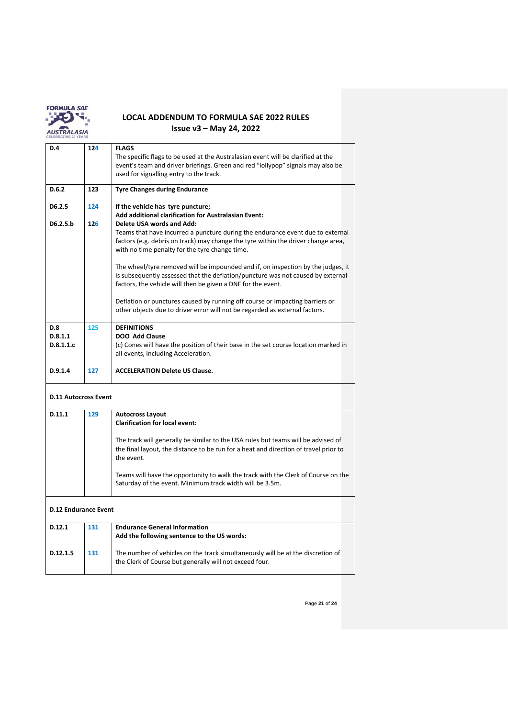

| D.4                                | 124 | <b>FLAGS</b><br>The specific flags to be used at the Australasian event will be clarified at the<br>event's team and driver briefings. Green and red "lollypop" signals may also be<br>used for signalling entry to the track.                                                                                                                                                                                                                                                                                                                                                                                                                                  |  |  |  |  |
|------------------------------------|-----|-----------------------------------------------------------------------------------------------------------------------------------------------------------------------------------------------------------------------------------------------------------------------------------------------------------------------------------------------------------------------------------------------------------------------------------------------------------------------------------------------------------------------------------------------------------------------------------------------------------------------------------------------------------------|--|--|--|--|
| D.6.2                              | 123 | <b>Tyre Changes during Endurance</b>                                                                                                                                                                                                                                                                                                                                                                                                                                                                                                                                                                                                                            |  |  |  |  |
| D6.2.5                             | 124 | If the vehicle has tyre puncture;<br><b>Add additional clarification for Australasian Event:</b>                                                                                                                                                                                                                                                                                                                                                                                                                                                                                                                                                                |  |  |  |  |
| D6.2.5.b                           | 126 | <b>Delete USA words and Add:</b><br>Teams that have incurred a puncture during the endurance event due to external<br>factors (e.g. debris on track) may change the tyre within the driver change area,<br>with no time penalty for the tyre change time.<br>The wheel/tyre removed will be impounded and if, on inspection by the judges, it<br>is subsequently assessed that the deflation/puncture was not caused by external<br>factors, the vehicle will then be given a DNF for the event.<br>Deflation or punctures caused by running off course or impacting barriers or<br>other objects due to driver error will not be regarded as external factors. |  |  |  |  |
| <b>D.8</b><br>D.8.1.1<br>D.8.1.1.c | 125 | <b>DEFINITIONS</b><br><b>DOO Add Clause</b><br>(c) Cones will have the position of their base in the set course location marked in<br>all events, including Acceleration.                                                                                                                                                                                                                                                                                                                                                                                                                                                                                       |  |  |  |  |
| D.9.1.4                            | 127 | <b>ACCELERATION Delete US Clause.</b>                                                                                                                                                                                                                                                                                                                                                                                                                                                                                                                                                                                                                           |  |  |  |  |
| <b>D.11 Autocross Event</b>        |     |                                                                                                                                                                                                                                                                                                                                                                                                                                                                                                                                                                                                                                                                 |  |  |  |  |
| D.11.1                             | 129 | <b>Autocross Layout</b><br><b>Clarification for local event:</b>                                                                                                                                                                                                                                                                                                                                                                                                                                                                                                                                                                                                |  |  |  |  |
|                                    |     | The track will generally be similar to the USA rules but teams will be advised of<br>the final layout, the distance to be run for a heat and direction of travel prior to<br>the event.                                                                                                                                                                                                                                                                                                                                                                                                                                                                         |  |  |  |  |
|                                    |     | Teams will have the opportunity to walk the track with the Clerk of Course on the<br>Saturday of the event. Minimum track width will be 3.5m.                                                                                                                                                                                                                                                                                                                                                                                                                                                                                                                   |  |  |  |  |
| <b>D.12 Endurance Event</b>        |     |                                                                                                                                                                                                                                                                                                                                                                                                                                                                                                                                                                                                                                                                 |  |  |  |  |
| D.12.1                             | 131 | <b>Endurance General Information</b><br>Add the following sentence to the US words:                                                                                                                                                                                                                                                                                                                                                                                                                                                                                                                                                                             |  |  |  |  |
| D.12.1.5                           | 131 | The number of vehicles on the track simultaneously will be at the discretion of<br>the Clerk of Course but generally will not exceed four.                                                                                                                                                                                                                                                                                                                                                                                                                                                                                                                      |  |  |  |  |

Page **21** of **24**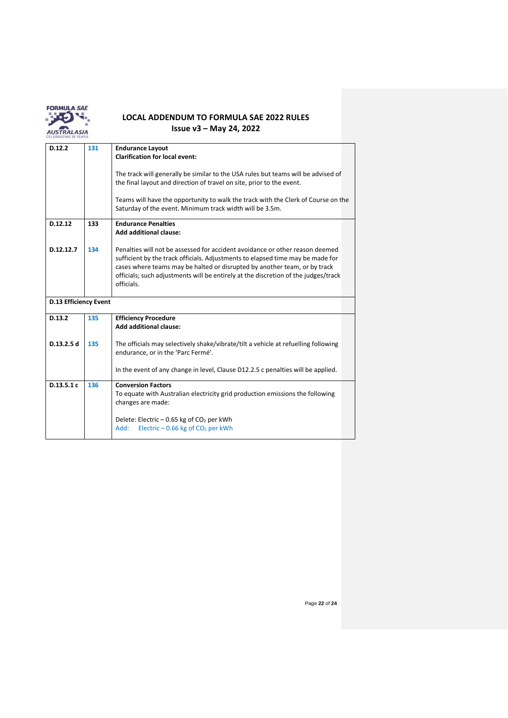

| D.12.2                       | 131 | <b>Endurance Layout</b><br><b>Clarification for local event:</b>                                                                                                                                                                                                                                                                                |  |  |  |
|------------------------------|-----|-------------------------------------------------------------------------------------------------------------------------------------------------------------------------------------------------------------------------------------------------------------------------------------------------------------------------------------------------|--|--|--|
|                              |     | The track will generally be similar to the USA rules but teams will be advised of<br>the final layout and direction of travel on site, prior to the event.                                                                                                                                                                                      |  |  |  |
|                              |     | Teams will have the opportunity to walk the track with the Clerk of Course on the<br>Saturday of the event. Minimum track width will be 3.5m.                                                                                                                                                                                                   |  |  |  |
| D.12.12                      | 133 | <b>Endurance Penalties</b><br><b>Add additional clause:</b>                                                                                                                                                                                                                                                                                     |  |  |  |
| D.12.12.7                    | 134 | Penalties will not be assessed for accident avoidance or other reason deemed<br>sufficient by the track officials. Adjustments to elapsed time may be made for<br>cases where teams may be halted or disrupted by another team, or by track<br>officials; such adjustments will be entirely at the discretion of the judges/track<br>officials. |  |  |  |
| <b>D.13 Efficiency Event</b> |     |                                                                                                                                                                                                                                                                                                                                                 |  |  |  |
| D.13.2                       | 135 | <b>Efficiency Procedure</b><br><b>Add additional clause:</b>                                                                                                                                                                                                                                                                                    |  |  |  |
| D.13.2.5 d                   | 135 | The officials may selectively shake/vibrate/tilt a vehicle at refuelling following<br>endurance, or in the 'Parc Fermé'.                                                                                                                                                                                                                        |  |  |  |
|                              |     | In the event of any change in level, Clause D12.2.5 c penalties will be applied.                                                                                                                                                                                                                                                                |  |  |  |
| D.13.5.1c                    | 136 | <b>Conversion Factors</b><br>To equate with Australian electricity grid production emissions the following<br>changes are made:                                                                                                                                                                                                                 |  |  |  |
|                              |     | Delete: Electric – 0.65 kg of $CO2$ per kWh<br>Electric $-0.66$ kg of $CO2$ per kWh<br>Add:                                                                                                                                                                                                                                                     |  |  |  |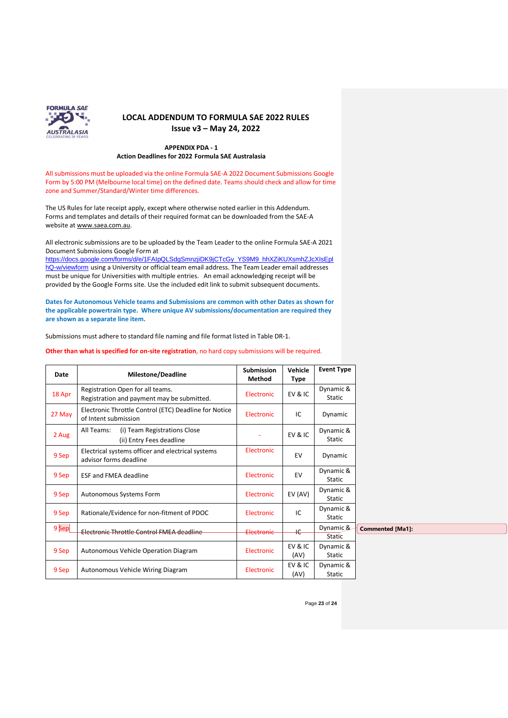

#### **APPENDIX PDA - 1 Action Deadlines for 2022 Formula SAE Australasia**

All submissions must be uploaded [via the online Formula SAE-A 2022](https://docs.google.com/forms/d/e/1FAIpQLSePcWMeVyt5dfYGTa7hGKqXcr4Ec4j7hSGACgi2zKhow6njzw/closedform) Document Submissions Google [Form](https://docs.google.com/forms/d/e/1FAIpQLSePcWMeVyt5dfYGTa7hGKqXcr4Ec4j7hSGACgi2zKhow6njzw/closedform) by 5:00 PM (Melbourne local time) on the defined date. Teams should check and allow for time zone and Summer/Standard/Winter time differences.

The US Rules for late receipt apply, except where otherwise noted earlier in this Addendum. Forms and templates and details of their required format can be downloaded from the SAE-A website at [www.saea.com.au.](http://www.saea.com.au/Team-Information)

All electronic submissions are to be uploaded by the Team Leader to th[e online Formula SAE-A 2021](https://docs.google.com/forms/d/e/1FAIpQLSePcWMeVyt5dfYGTa7hGKqXcr4Ec4j7hSGACgi2zKhow6njzw/closedform) [Document Submissions Google Form](https://docs.google.com/forms/d/e/1FAIpQLSePcWMeVyt5dfYGTa7hGKqXcr4Ec4j7hSGACgi2zKhow6njzw/closedform) at

[https://docs.google.com/forms/d/e/1FAIpQLSdgSmnzjiDK9jCTcGy\\_YS9M9\\_hhXZiKUXsmhZJcXIsEpl](https://docs.google.com/forms/d/e/1FAIpQLSdgSmnzjiDK9jCTcGy_YS9M9_hhXZiKUXsmhZJcXIsEplhQ-w/viewform) [hQ-w/viewform](https://docs.google.com/forms/d/e/1FAIpQLSdgSmnzjiDK9jCTcGy_YS9M9_hhXZiKUXsmhZJcXIsEplhQ-w/viewform) using a University or official team email address. The Team Leader email addresses must be unique for Universities with multiple entries. An email acknowledging receipt will be provided by the Google Forms site. Use the included edit link to submit subsequent documents.

**Dates for Autonomous Vehicle teams and Submissions are common with other Dates as shown for the applicable powertrain type. Where unique AV submissions/documentation are required they are shown as a separate line item.**

Submissions must adhere to standard file naming and file format listed in Table DR-1.

**Other than what is specified for on-site registration**, no hard copy submissions will be required.

| Date   | Milestone/Deadline                                                             | <b>Submission</b><br>Method | Vehicle<br>Type | <b>Event Type</b>          |                         |
|--------|--------------------------------------------------------------------------------|-----------------------------|-----------------|----------------------------|-------------------------|
| 18 Apr | Registration Open for all teams.<br>Registration and payment may be submitted. | Electronic                  | EV&IC           | Dynamic &<br><b>Static</b> |                         |
| 27 May | Electronic Throttle Control (ETC) Deadline for Notice<br>of Intent submission  | Electronic                  | IC              | Dynamic                    |                         |
| 2 Aug  | All Teams:<br>(i) Team Registrations Close<br>(ii) Entry Fees deadline         |                             | EV&IC           | Dynamic &<br>Static        |                         |
| 9 Sep  | Electrical systems officer and electrical systems<br>advisor forms deadline    | Electronic                  | EV              | Dynamic                    |                         |
| 9 Sep  | <b>ESF and FMEA deadline</b>                                                   | Electronic                  | EV              | Dynamic &<br><b>Static</b> |                         |
| 9 Sep  | Autonomous Systems Form                                                        | Electronic                  | EV (AV)         | Dynamic &<br><b>Static</b> |                         |
| 9 Sep  | Rationale/Evidence for non-fitment of PDOC                                     | Electronic                  | IC              | Dynamic &<br><b>Static</b> |                         |
| 9Sep   | Electronic Throttle Control FMEA deadline                                      | Electronic                  | <sub>IC</sub>   | Dynamic &<br><b>Static</b> | <b>Commented [Ma1]:</b> |
| 9 Sep  | Autonomous Vehicle Operation Diagram                                           | Electronic                  | EV&IC<br>(AV)   | Dynamic &<br>Static        |                         |
| 9 Sep  | Autonomous Vehicle Wiring Diagram                                              | Electronic                  | EV & IC<br>(AV) | Dynamic &<br><b>Static</b> |                         |

Page **23** of **24**